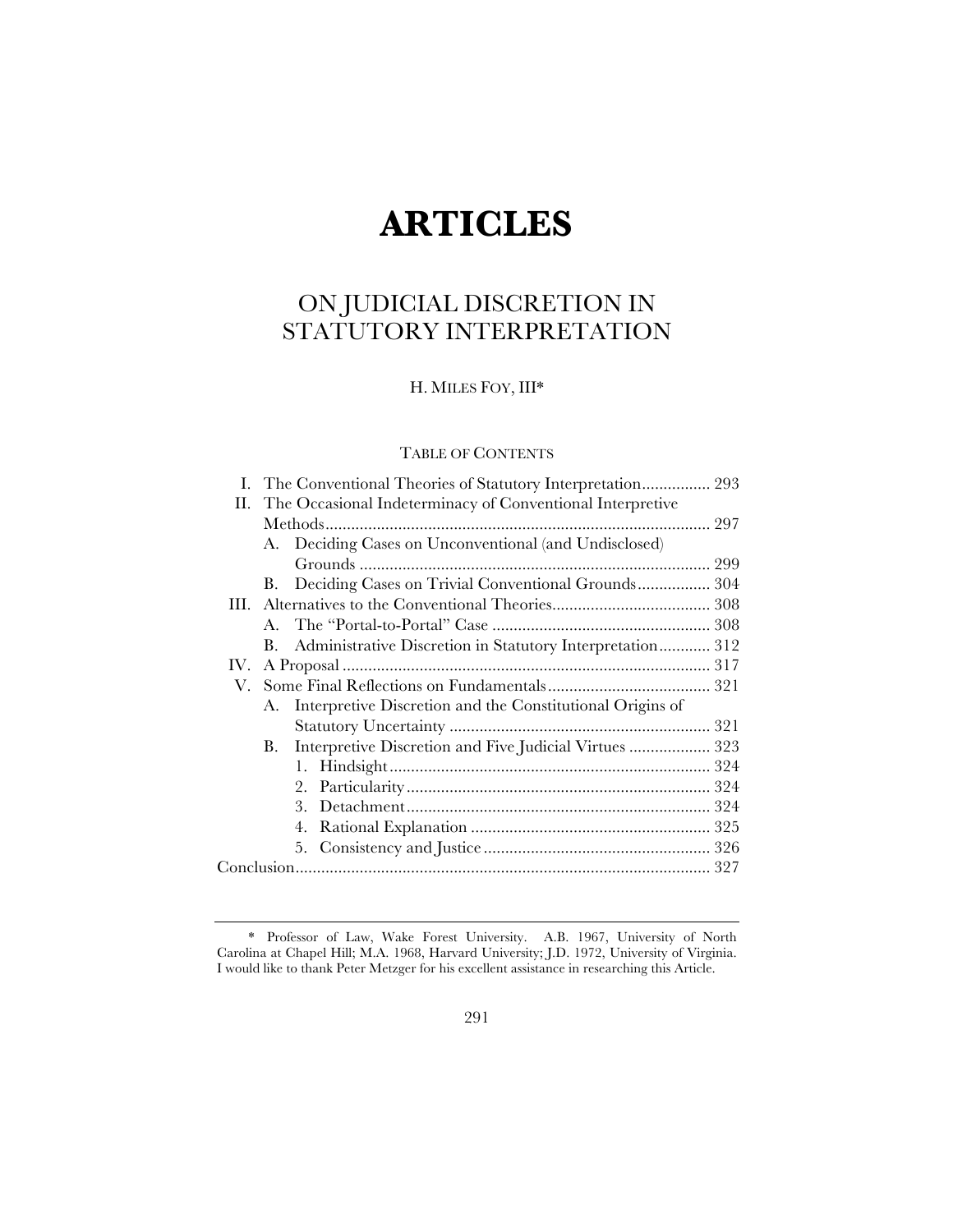# **ARTICLES**

# ON JUDICIAL DISCRETION IN STATUTORY INTERPRETATION

H. MILES FOY, III\*

## TABLE OF CONTENTS

| П.  |    | The Occasional Indeterminacy of Conventional Interpretive |  |  |
|-----|----|-----------------------------------------------------------|--|--|
|     |    |                                                           |  |  |
|     |    | A. Deciding Cases on Unconventional (and Undisclosed)     |  |  |
|     |    |                                                           |  |  |
|     | В. | Deciding Cases on Trivial Conventional Grounds 304        |  |  |
|     |    |                                                           |  |  |
|     |    |                                                           |  |  |
|     | В. | Administrative Discretion in Statutory Interpretation 312 |  |  |
| IV. |    |                                                           |  |  |
| V.  |    |                                                           |  |  |
|     | А. | Interpretive Discretion and the Constitutional Origins of |  |  |
|     |    |                                                           |  |  |
|     | В. | Interpretive Discretion and Five Judicial Virtues  323    |  |  |
|     |    |                                                           |  |  |
|     |    | 2.                                                        |  |  |
|     |    | 3.                                                        |  |  |
|     |    | 4.                                                        |  |  |
|     |    |                                                           |  |  |
|     |    |                                                           |  |  |
|     |    |                                                           |  |  |

<sup>\*</sup> Professor of Law, Wake Forest University. A.B. 1967, University of North Carolina at Chapel Hill; M.A. 1968, Harvard University; J.D. 1972, University of Virginia. I would like to thank Peter Metzger for his excellent assistance in researching this Article.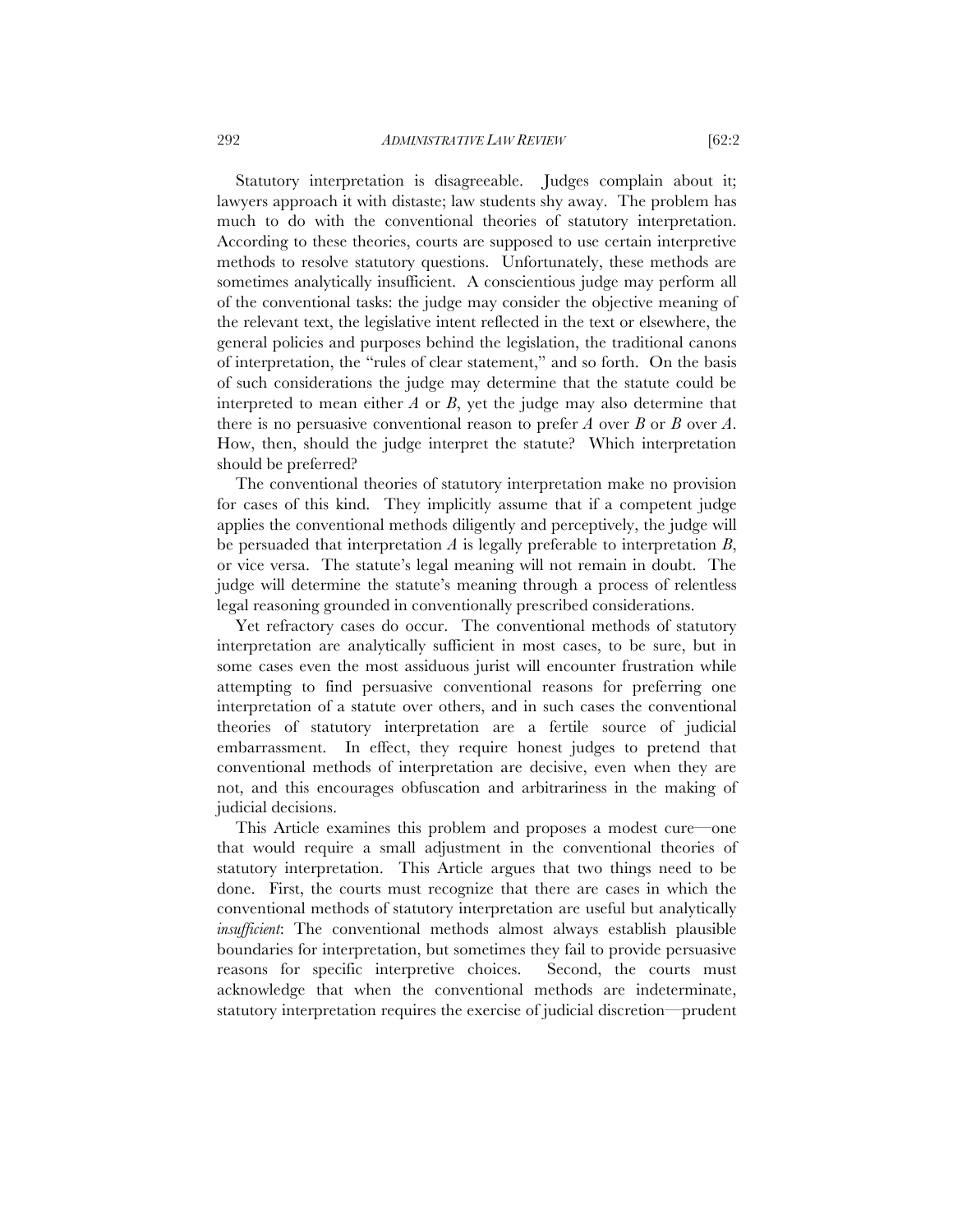Statutory interpretation is disagreeable. Judges complain about it; lawyers approach it with distaste; law students shy away. The problem has much to do with the conventional theories of statutory interpretation. According to these theories, courts are supposed to use certain interpretive methods to resolve statutory questions. Unfortunately, these methods are sometimes analytically insufficient. A conscientious judge may perform all of the conventional tasks: the judge may consider the objective meaning of the relevant text, the legislative intent reflected in the text or elsewhere, the general policies and purposes behind the legislation, the traditional canons of interpretation, the "rules of clear statement," and so forth. On the basis of such considerations the judge may determine that the statute could be interpreted to mean either *A* or *B*, yet the judge may also determine that there is no persuasive conventional reason to prefer *A* over *B* or *B* over *A*. How, then, should the judge interpret the statute? Which interpretation should be preferred?

The conventional theories of statutory interpretation make no provision for cases of this kind. They implicitly assume that if a competent judge applies the conventional methods diligently and perceptively, the judge will be persuaded that interpretation *A* is legally preferable to interpretation *B*, or vice versa. The statute's legal meaning will not remain in doubt. The judge will determine the statute's meaning through a process of relentless legal reasoning grounded in conventionally prescribed considerations.

Yet refractory cases do occur. The conventional methods of statutory interpretation are analytically sufficient in most cases, to be sure, but in some cases even the most assiduous jurist will encounter frustration while attempting to find persuasive conventional reasons for preferring one interpretation of a statute over others, and in such cases the conventional theories of statutory interpretation are a fertile source of judicial embarrassment. In effect, they require honest judges to pretend that conventional methods of interpretation are decisive, even when they are not, and this encourages obfuscation and arbitrariness in the making of judicial decisions.

This Article examines this problem and proposes a modest cure—one that would require a small adjustment in the conventional theories of statutory interpretation. This Article argues that two things need to be done. First, the courts must recognize that there are cases in which the conventional methods of statutory interpretation are useful but analytically *insufficient*: The conventional methods almost always establish plausible boundaries for interpretation, but sometimes they fail to provide persuasive reasons for specific interpretive choices. Second, the courts must acknowledge that when the conventional methods are indeterminate, statutory interpretation requires the exercise of judicial discretion—prudent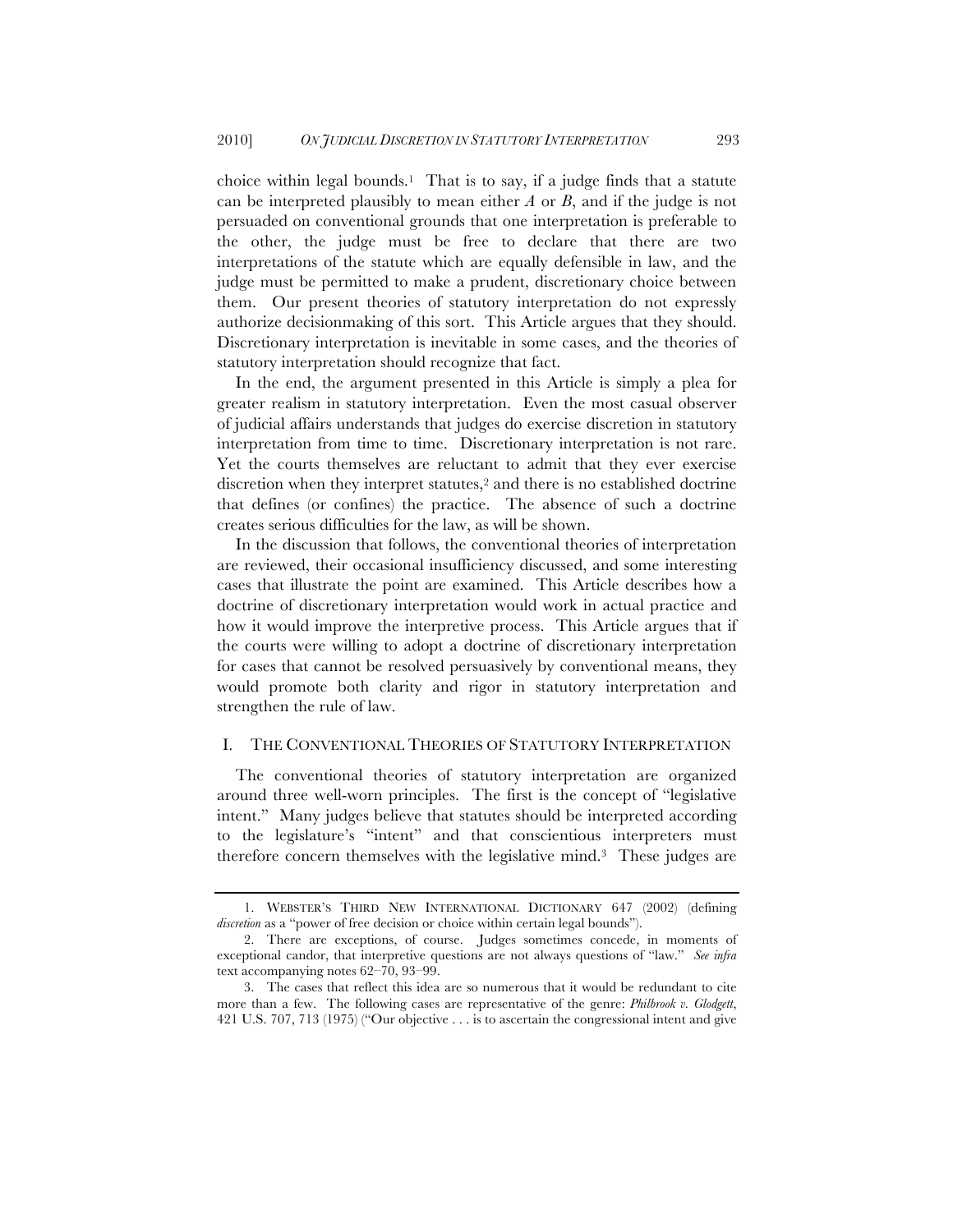choice within legal bounds.<sup>1</sup> That is to say, if a judge finds that a statute can be interpreted plausibly to mean either *A* or *B*, and if the judge is not persuaded on conventional grounds that one interpretation is preferable to the other, the judge must be free to declare that there are two interpretations of the statute which are equally defensible in law, and the judge must be permitted to make a prudent, discretionary choice between them. Our present theories of statutory interpretation do not expressly authorize decisionmaking of this sort. This Article argues that they should. Discretionary interpretation is inevitable in some cases, and the theories of statutory interpretation should recognize that fact.

In the end, the argument presented in this Article is simply a plea for greater realism in statutory interpretation. Even the most casual observer of judicial affairs understands that judges do exercise discretion in statutory interpretation from time to time. Discretionary interpretation is not rare. Yet the courts themselves are reluctant to admit that they ever exercise discretion when they interpret statutes,<sup>2</sup> and there is no established doctrine that defines (or confines) the practice. The absence of such a doctrine creates serious difficulties for the law, as will be shown.

In the discussion that follows, the conventional theories of interpretation are reviewed, their occasional insufficiency discussed, and some interesting cases that illustrate the point are examined. This Article describes how a doctrine of discretionary interpretation would work in actual practice and how it would improve the interpretive process. This Article argues that if the courts were willing to adopt a doctrine of discretionary interpretation for cases that cannot be resolved persuasively by conventional means, they would promote both clarity and rigor in statutory interpretation and strengthen the rule of law.

#### I. THE CONVENTIONAL THEORIES OF STATUTORY INTERPRETATION

The conventional theories of statutory interpretation are organized around three well-worn principles. The first is the concept of "legislative intent." Many judges believe that statutes should be interpreted according to the legislature's "intent" and that conscientious interpreters must therefore concern themselves with the legislative mind.3 These judges are

<sup>1.</sup> WEBSTER'S THIRD NEW INTERNATIONAL DICTIONARY 647 (2002) (defining *discretion* as a "power of free decision or choice within certain legal bounds").

<sup>2.</sup> There are exceptions, of course. Judges sometimes concede, in moments of exceptional candor, that interpretive questions are not always questions of "law." *See infra* text accompanying notes 62–70, 93–99.

<sup>3.</sup> The cases that reflect this idea are so numerous that it would be redundant to cite more than a few. The following cases are representative of the genre: *Philbrook v. Glodgett*, 421 U.S. 707, 713 (1975) ("Our objective . . . is to ascertain the congressional intent and give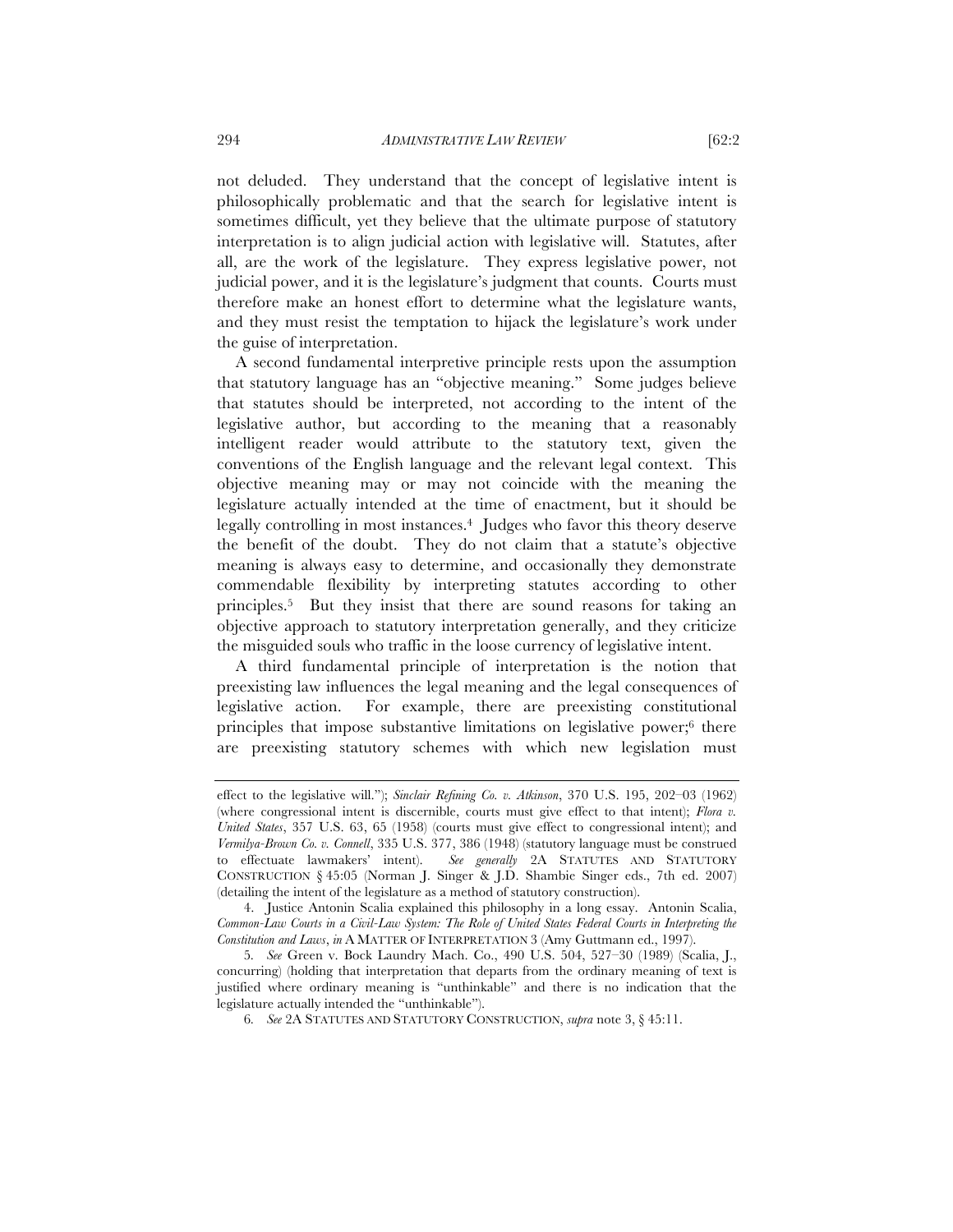not deluded. They understand that the concept of legislative intent is philosophically problematic and that the search for legislative intent is sometimes difficult, yet they believe that the ultimate purpose of statutory interpretation is to align judicial action with legislative will. Statutes, after all, are the work of the legislature. They express legislative power, not judicial power, and it is the legislature's judgment that counts. Courts must therefore make an honest effort to determine what the legislature wants, and they must resist the temptation to hijack the legislature's work under the guise of interpretation.

A second fundamental interpretive principle rests upon the assumption that statutory language has an "objective meaning." Some judges believe that statutes should be interpreted, not according to the intent of the legislative author, but according to the meaning that a reasonably intelligent reader would attribute to the statutory text, given the conventions of the English language and the relevant legal context. This objective meaning may or may not coincide with the meaning the legislature actually intended at the time of enactment, but it should be legally controlling in most instances.4 Judges who favor this theory deserve the benefit of the doubt. They do not claim that a statute's objective meaning is always easy to determine, and occasionally they demonstrate commendable flexibility by interpreting statutes according to other principles.5 But they insist that there are sound reasons for taking an objective approach to statutory interpretation generally, and they criticize the misguided souls who traffic in the loose currency of legislative intent.

A third fundamental principle of interpretation is the notion that preexisting law influences the legal meaning and the legal consequences of legislative action. For example, there are preexisting constitutional principles that impose substantive limitations on legislative power;6 there are preexisting statutory schemes with which new legislation must

effect to the legislative will."); *Sinclair Refining Co. v. Atkinson*, 370 U.S. 195, 202–03 (1962) (where congressional intent is discernible, courts must give effect to that intent); *Flora v. United States*, 357 U.S. 63, 65 (1958) (courts must give effect to congressional intent); and *Vermilya-Brown Co. v. Connell*, 335 U.S. 377, 386 (1948) (statutory language must be construed to effectuate lawmakers' intent). *See generally* 2A STATUTES AND STATUTORY CONSTRUCTION § 45:05 (Norman J. Singer & J.D. Shambie Singer eds., 7th ed. 2007) (detailing the intent of the legislature as a method of statutory construction).

<sup>4.</sup> Justice Antonin Scalia explained this philosophy in a long essay. Antonin Scalia, *Common-Law Courts in a Civil-Law System: The Role of United States Federal Courts in Interpreting the Constitution and Laws*, *in* A MATTER OF INTERPRETATION 3 (Amy Guttmann ed., 1997).

<sup>5</sup>*. See* Green v. Bock Laundry Mach. Co., 490 U.S. 504, 527–30 (1989) (Scalia, J., concurring) (holding that interpretation that departs from the ordinary meaning of text is justified where ordinary meaning is "unthinkable" and there is no indication that the legislature actually intended the "unthinkable").

<sup>6</sup>*. See* 2A STATUTES AND STATUTORY CONSTRUCTION, *supra* note 3, § 45:11.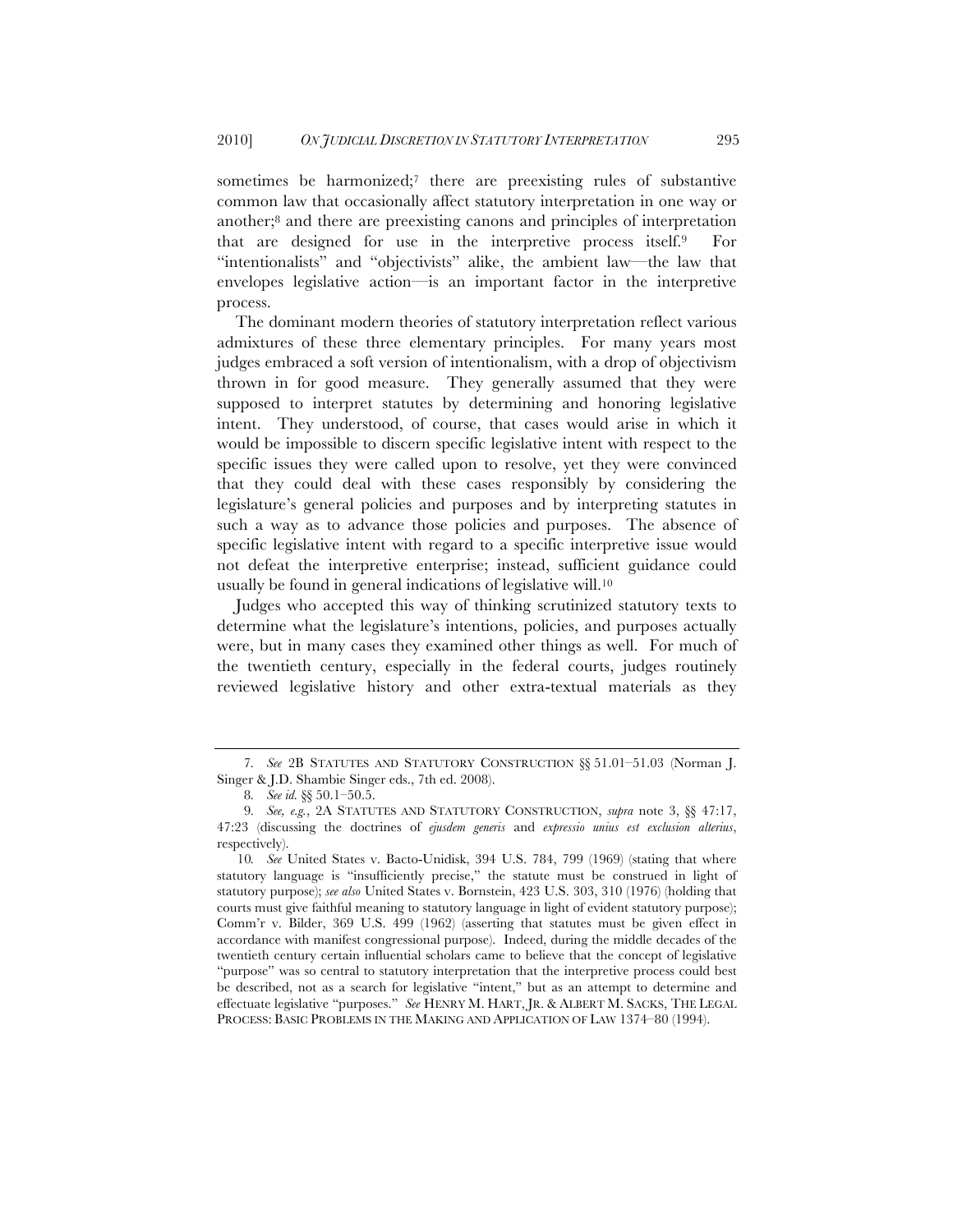sometimes be harmonized;<sup>7</sup> there are preexisting rules of substantive common law that occasionally affect statutory interpretation in one way or another;8 and there are preexisting canons and principles of interpretation that are designed for use in the interpretive process itself.9 For "intentionalists" and "objectivists" alike, the ambient law—the law that envelopes legislative action—is an important factor in the interpretive process.

The dominant modern theories of statutory interpretation reflect various admixtures of these three elementary principles. For many years most judges embraced a soft version of intentionalism, with a drop of objectivism thrown in for good measure. They generally assumed that they were supposed to interpret statutes by determining and honoring legislative intent. They understood, of course, that cases would arise in which it would be impossible to discern specific legislative intent with respect to the specific issues they were called upon to resolve, yet they were convinced that they could deal with these cases responsibly by considering the legislature's general policies and purposes and by interpreting statutes in such a way as to advance those policies and purposes. The absence of specific legislative intent with regard to a specific interpretive issue would not defeat the interpretive enterprise; instead, sufficient guidance could usually be found in general indications of legislative will.10

Judges who accepted this way of thinking scrutinized statutory texts to determine what the legislature's intentions, policies, and purposes actually were, but in many cases they examined other things as well. For much of the twentieth century, especially in the federal courts, judges routinely reviewed legislative history and other extra-textual materials as they

<sup>7</sup>*. See* 2B STATUTES AND STATUTORY CONSTRUCTION §§ 51.01–51.03 (Norman J. Singer & J.D. Shambie Singer eds., 7th ed. 2008).

<sup>8</sup>*. See id.* §§ 50.1–50.5.

<sup>9</sup>*. See, e.g.*, 2A STATUTES AND STATUTORY CONSTRUCTION, *supra* note 3, §§ 47:17, 47:23 (discussing the doctrines of *ejusdem generis* and *expressio unius est exclusion alterius*, respectively).

<sup>10</sup>*. See* United States v. Bacto-Unidisk, 394 U.S. 784, 799 (1969) (stating that where statutory language is "insufficiently precise," the statute must be construed in light of statutory purpose); *see also* United States v. Bornstein, 423 U.S. 303, 310 (1976) (holding that courts must give faithful meaning to statutory language in light of evident statutory purpose); Comm'r v. Bilder, 369 U.S. 499 (1962) (asserting that statutes must be given effect in accordance with manifest congressional purpose). Indeed, during the middle decades of the twentieth century certain influential scholars came to believe that the concept of legislative "purpose" was so central to statutory interpretation that the interpretive process could best be described, not as a search for legislative "intent," but as an attempt to determine and effectuate legislative "purposes." *See* HENRY M. HART, JR. & ALBERT M. SACKS, THE LEGAL PROCESS: BASIC PROBLEMS IN THE MAKING AND APPLICATION OF LAW 1374–80 (1994).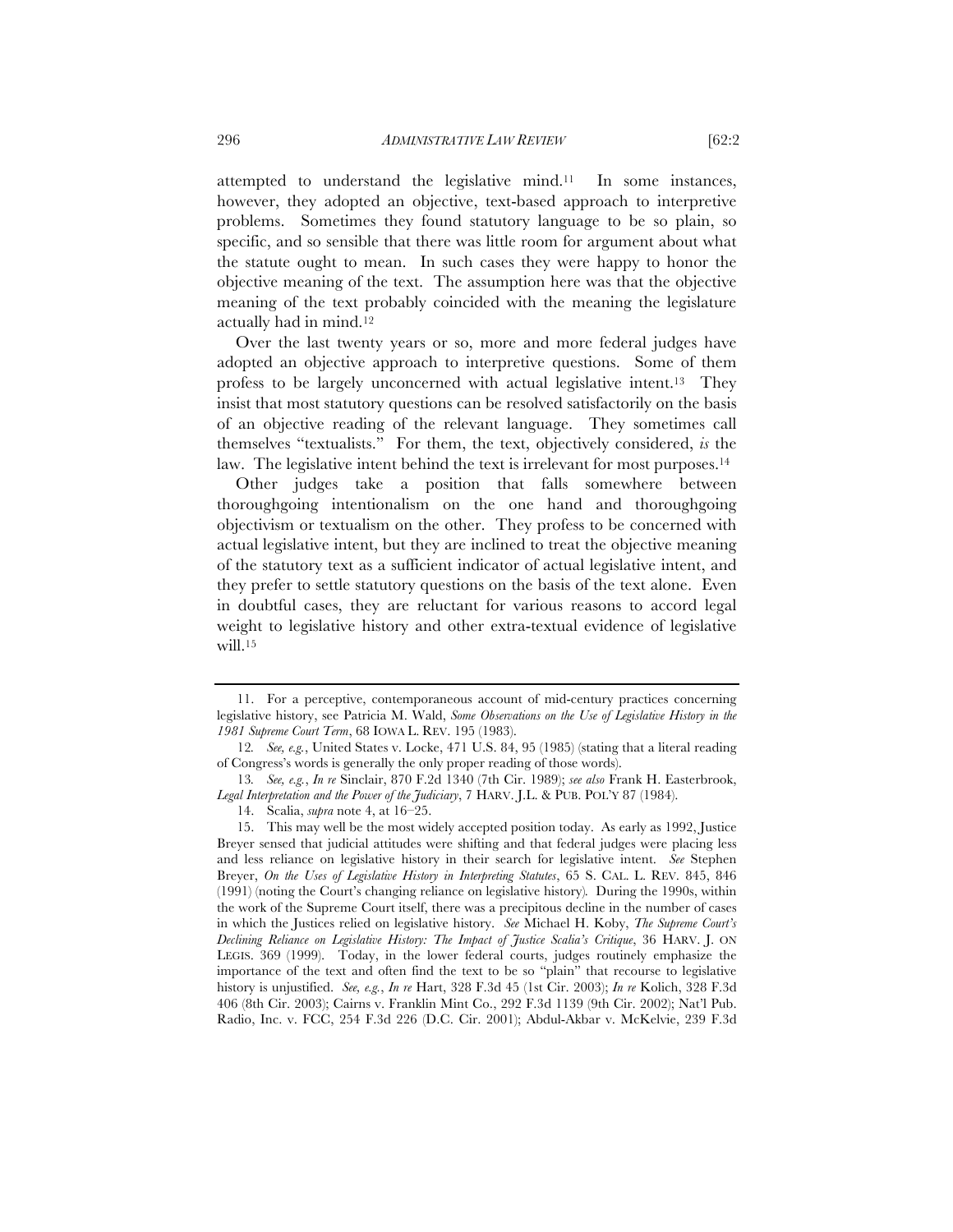attempted to understand the legislative mind.11 In some instances, however, they adopted an objective, text-based approach to interpretive problems. Sometimes they found statutory language to be so plain, so specific, and so sensible that there was little room for argument about what the statute ought to mean. In such cases they were happy to honor the objective meaning of the text. The assumption here was that the objective meaning of the text probably coincided with the meaning the legislature actually had in mind.12

Over the last twenty years or so, more and more federal judges have adopted an objective approach to interpretive questions. Some of them profess to be largely unconcerned with actual legislative intent.13 They insist that most statutory questions can be resolved satisfactorily on the basis of an objective reading of the relevant language. They sometimes call themselves "textualists." For them, the text, objectively considered, *is* the law. The legislative intent behind the text is irrelevant for most purposes.14

Other judges take a position that falls somewhere between thoroughgoing intentionalism on the one hand and thoroughgoing objectivism or textualism on the other. They profess to be concerned with actual legislative intent, but they are inclined to treat the objective meaning of the statutory text as a sufficient indicator of actual legislative intent, and they prefer to settle statutory questions on the basis of the text alone. Even in doubtful cases, they are reluctant for various reasons to accord legal weight to legislative history and other extra-textual evidence of legislative will.<sup>15</sup>

<sup>11.</sup> For a perceptive, contemporaneous account of mid-century practices concerning legislative history, see Patricia M. Wald, *Some Observations on the Use of Legislative History in the 1981 Supreme Court Term*, 68 IOWA L. REV. 195 (1983).

<sup>12</sup>*. See, e.g.*, United States v. Locke, 471 U.S. 84, 95 (1985) (stating that a literal reading of Congress's words is generally the only proper reading of those words).

<sup>13</sup>*. See, e.g.*, *In re* Sinclair, 870 F.2d 1340 (7th Cir. 1989); *see also* Frank H. Easterbrook, *Legal Interpretation and the Power of the Judiciary*, 7 HARV. J.L. & PUB. POL'Y 87 (1984).

<sup>14.</sup> Scalia, *supra* note 4, at 16–25.

<sup>15.</sup> This may well be the most widely accepted position today. As early as 1992, Justice Breyer sensed that judicial attitudes were shifting and that federal judges were placing less and less reliance on legislative history in their search for legislative intent. *See* Stephen Breyer, *On the Uses of Legislative History in Interpreting Statutes*, 65 S. CAL. L. REV. 845, 846 (1991) (noting the Court's changing reliance on legislative history)*.* During the 1990s, within the work of the Supreme Court itself, there was a precipitous decline in the number of cases in which the Justices relied on legislative history. *See* Michael H. Koby, *The Supreme Court's Declining Reliance on Legislative History: The Impact of Justice Scalia's Critique*, 36 HARV. J. ON LEGIS. 369 (1999). Today, in the lower federal courts, judges routinely emphasize the importance of the text and often find the text to be so "plain" that recourse to legislative history is unjustified. *See, e.g.*, *In re* Hart, 328 F.3d 45 (1st Cir. 2003); *In re* Kolich, 328 F.3d 406 (8th Cir. 2003); Cairns v. Franklin Mint Co., 292 F.3d 1139 (9th Cir. 2002); Nat'l Pub. Radio, Inc. v. FCC, 254 F.3d 226 (D.C. Cir. 2001); Abdul-Akbar v. McKelvie, 239 F.3d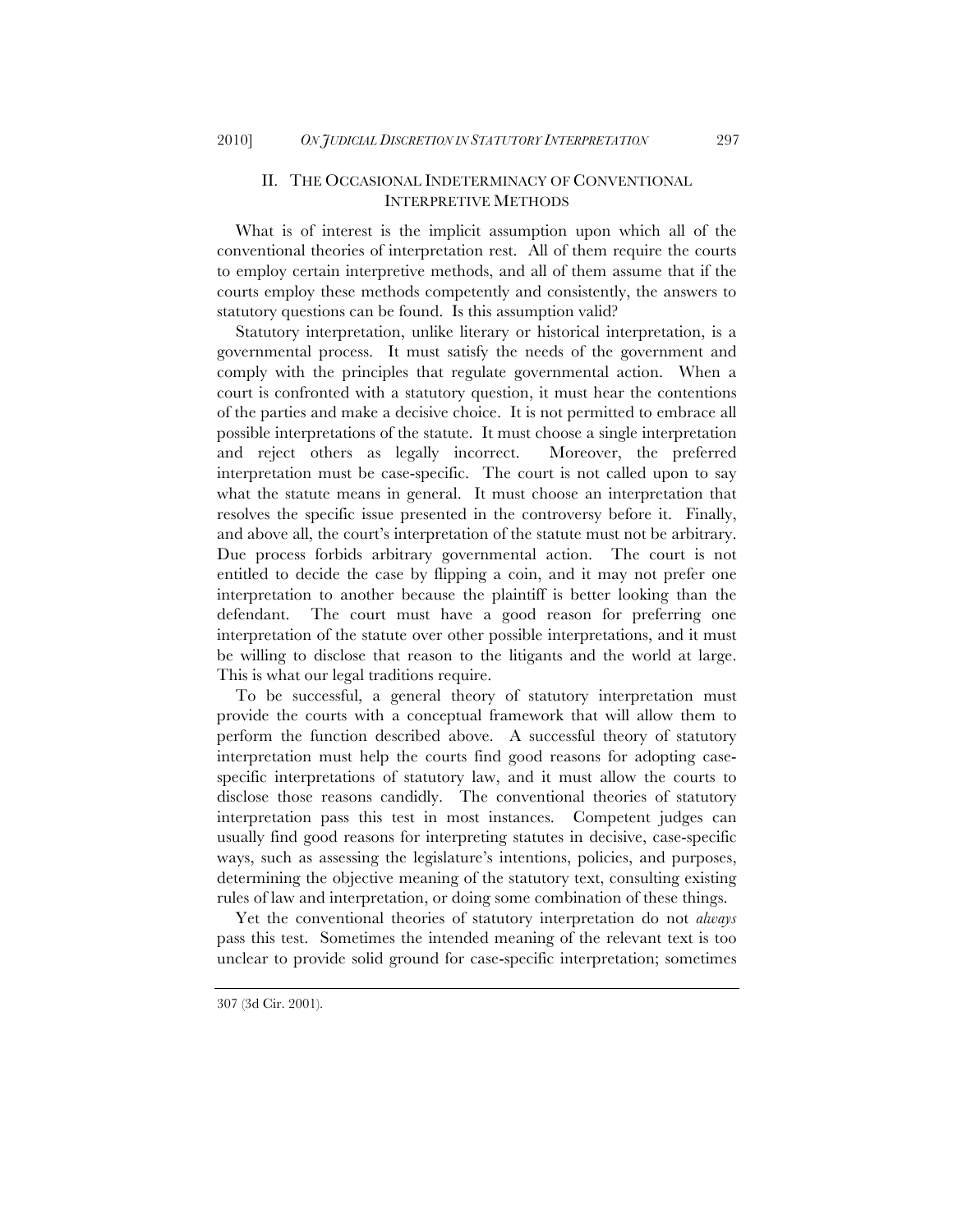### II. THE OCCASIONAL INDETERMINACY OF CONVENTIONAL INTERPRETIVE METHODS

What is of interest is the implicit assumption upon which all of the conventional theories of interpretation rest. All of them require the courts to employ certain interpretive methods, and all of them assume that if the courts employ these methods competently and consistently, the answers to statutory questions can be found. Is this assumption valid?

Statutory interpretation, unlike literary or historical interpretation, is a governmental process. It must satisfy the needs of the government and comply with the principles that regulate governmental action. When a court is confronted with a statutory question, it must hear the contentions of the parties and make a decisive choice. It is not permitted to embrace all possible interpretations of the statute. It must choose a single interpretation and reject others as legally incorrect. Moreover, the preferred interpretation must be case-specific. The court is not called upon to say what the statute means in general. It must choose an interpretation that resolves the specific issue presented in the controversy before it. Finally, and above all, the court's interpretation of the statute must not be arbitrary. Due process forbids arbitrary governmental action. The court is not entitled to decide the case by flipping a coin, and it may not prefer one interpretation to another because the plaintiff is better looking than the defendant. The court must have a good reason for preferring one interpretation of the statute over other possible interpretations, and it must be willing to disclose that reason to the litigants and the world at large. This is what our legal traditions require.

To be successful, a general theory of statutory interpretation must provide the courts with a conceptual framework that will allow them to perform the function described above. A successful theory of statutory interpretation must help the courts find good reasons for adopting casespecific interpretations of statutory law, and it must allow the courts to disclose those reasons candidly. The conventional theories of statutory interpretation pass this test in most instances. Competent judges can usually find good reasons for interpreting statutes in decisive, case-specific ways, such as assessing the legislature's intentions, policies, and purposes, determining the objective meaning of the statutory text, consulting existing rules of law and interpretation, or doing some combination of these things.

Yet the conventional theories of statutory interpretation do not *always* pass this test. Sometimes the intended meaning of the relevant text is too unclear to provide solid ground for case-specific interpretation; sometimes

<sup>307 (3</sup>d Cir. 2001).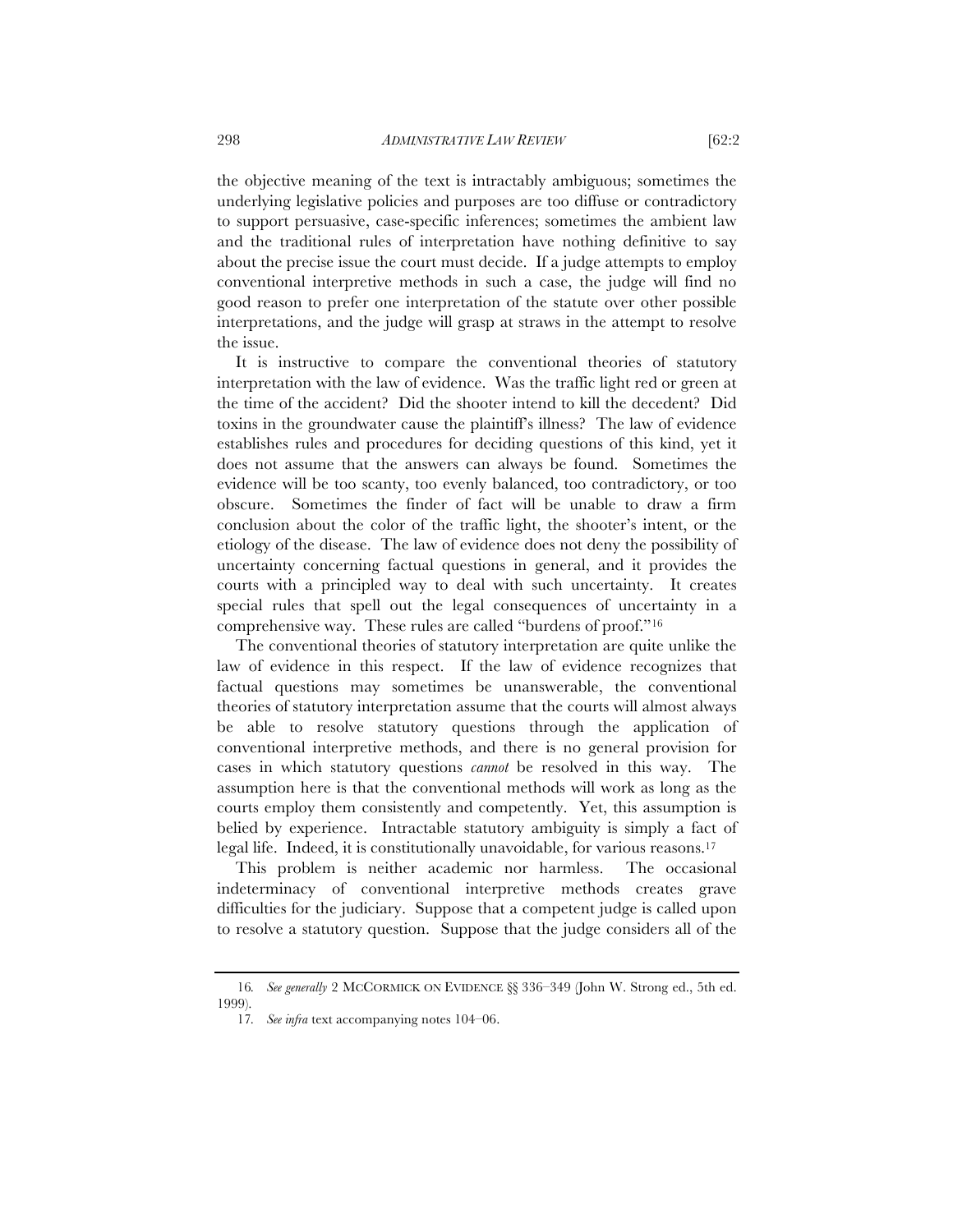the objective meaning of the text is intractably ambiguous; sometimes the underlying legislative policies and purposes are too diffuse or contradictory to support persuasive, case-specific inferences; sometimes the ambient law and the traditional rules of interpretation have nothing definitive to say about the precise issue the court must decide. If a judge attempts to employ conventional interpretive methods in such a case, the judge will find no good reason to prefer one interpretation of the statute over other possible interpretations, and the judge will grasp at straws in the attempt to resolve the issue.

It is instructive to compare the conventional theories of statutory interpretation with the law of evidence. Was the traffic light red or green at the time of the accident? Did the shooter intend to kill the decedent? Did toxins in the groundwater cause the plaintiff's illness? The law of evidence establishes rules and procedures for deciding questions of this kind, yet it does not assume that the answers can always be found. Sometimes the evidence will be too scanty, too evenly balanced, too contradictory, or too obscure. Sometimes the finder of fact will be unable to draw a firm conclusion about the color of the traffic light, the shooter's intent, or the etiology of the disease. The law of evidence does not deny the possibility of uncertainty concerning factual questions in general, and it provides the courts with a principled way to deal with such uncertainty. It creates special rules that spell out the legal consequences of uncertainty in a comprehensive way. These rules are called "burdens of proof."16

The conventional theories of statutory interpretation are quite unlike the law of evidence in this respect. If the law of evidence recognizes that factual questions may sometimes be unanswerable, the conventional theories of statutory interpretation assume that the courts will almost always be able to resolve statutory questions through the application of conventional interpretive methods, and there is no general provision for cases in which statutory questions *cannot* be resolved in this way. The assumption here is that the conventional methods will work as long as the courts employ them consistently and competently. Yet, this assumption is belied by experience. Intractable statutory ambiguity is simply a fact of legal life. Indeed, it is constitutionally unavoidable, for various reasons.17

This problem is neither academic nor harmless. The occasional indeterminacy of conventional interpretive methods creates grave difficulties for the judiciary. Suppose that a competent judge is called upon to resolve a statutory question. Suppose that the judge considers all of the

<sup>16</sup>*. See generally* 2 MCCORMICK ON EVIDENCE §§ 336–349 (John W. Strong ed., 5th ed. 1999).

<sup>17</sup>*. See infra* text accompanying notes 104–06.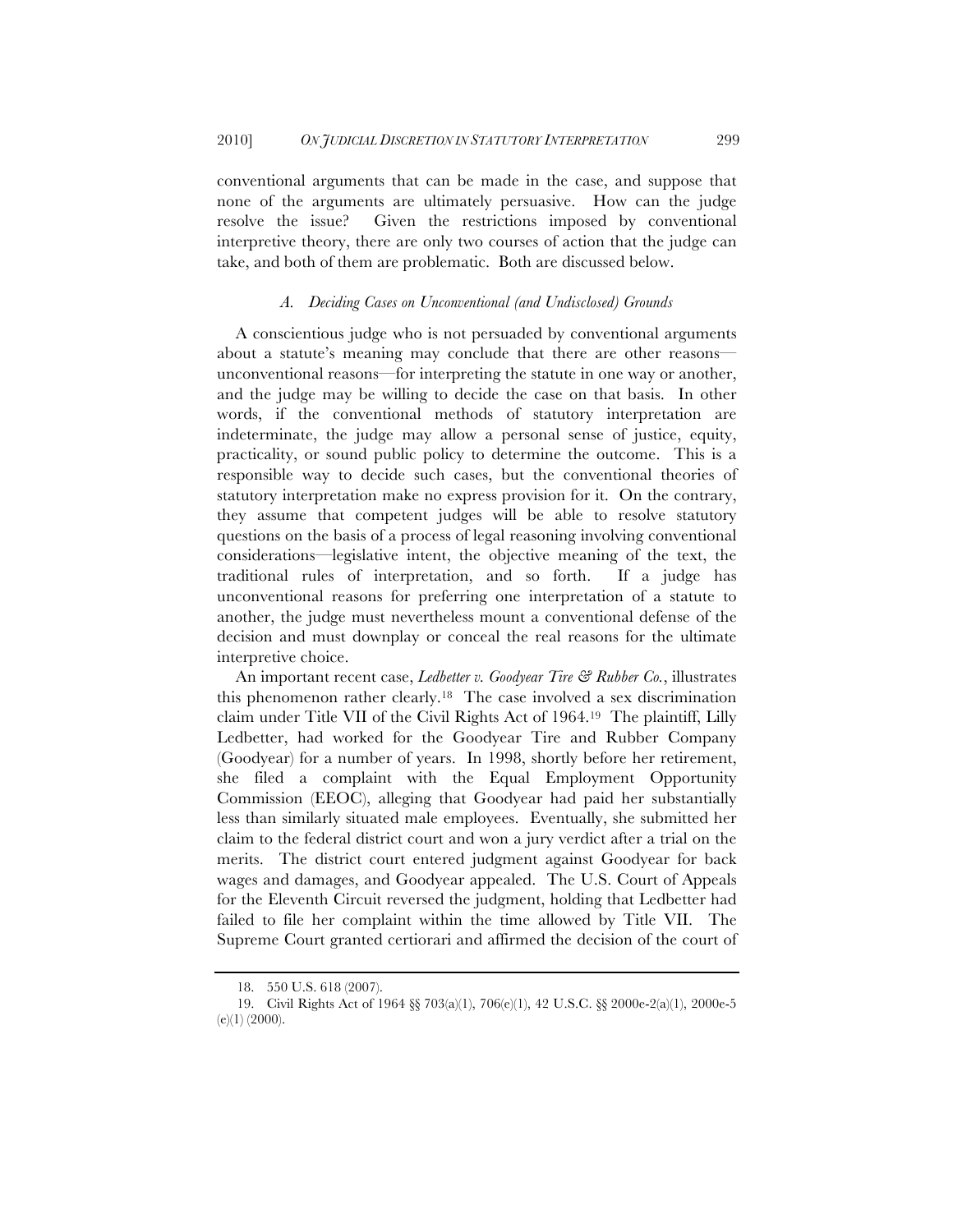conventional arguments that can be made in the case, and suppose that none of the arguments are ultimately persuasive. How can the judge resolve the issue? Given the restrictions imposed by conventional interpretive theory, there are only two courses of action that the judge can take, and both of them are problematic. Both are discussed below.

#### *A. Deciding Cases on Unconventional (and Undisclosed) Grounds*

A conscientious judge who is not persuaded by conventional arguments about a statute's meaning may conclude that there are other reasons unconventional reasons—for interpreting the statute in one way or another, and the judge may be willing to decide the case on that basis. In other words, if the conventional methods of statutory interpretation are indeterminate, the judge may allow a personal sense of justice, equity, practicality, or sound public policy to determine the outcome. This is a responsible way to decide such cases, but the conventional theories of statutory interpretation make no express provision for it. On the contrary, they assume that competent judges will be able to resolve statutory questions on the basis of a process of legal reasoning involving conventional considerations—legislative intent, the objective meaning of the text, the traditional rules of interpretation, and so forth. If a judge has unconventional reasons for preferring one interpretation of a statute to another, the judge must nevertheless mount a conventional defense of the decision and must downplay or conceal the real reasons for the ultimate interpretive choice.

An important recent case, *Ledbetter v. Goodyear Tire & Rubber Co.*, illustrates this phenomenon rather clearly.18 The case involved a sex discrimination claim under Title VII of the Civil Rights Act of 1964.19 The plaintiff, Lilly Ledbetter, had worked for the Goodyear Tire and Rubber Company (Goodyear) for a number of years. In 1998, shortly before her retirement, she filed a complaint with the Equal Employment Opportunity Commission (EEOC), alleging that Goodyear had paid her substantially less than similarly situated male employees. Eventually, she submitted her claim to the federal district court and won a jury verdict after a trial on the merits. The district court entered judgment against Goodyear for back wages and damages, and Goodyear appealed. The U.S. Court of Appeals for the Eleventh Circuit reversed the judgment, holding that Ledbetter had failed to file her complaint within the time allowed by Title VII. The Supreme Court granted certiorari and affirmed the decision of the court of

<sup>18.</sup> 550 U.S. 618 (2007).

<sup>19.</sup> Civil Rights Act of 1964 §§ 703(a)(1), 706(e)(1), 42 U.S.C. §§ 2000e-2(a)(1), 2000e-5  $(e)(1)$  (2000).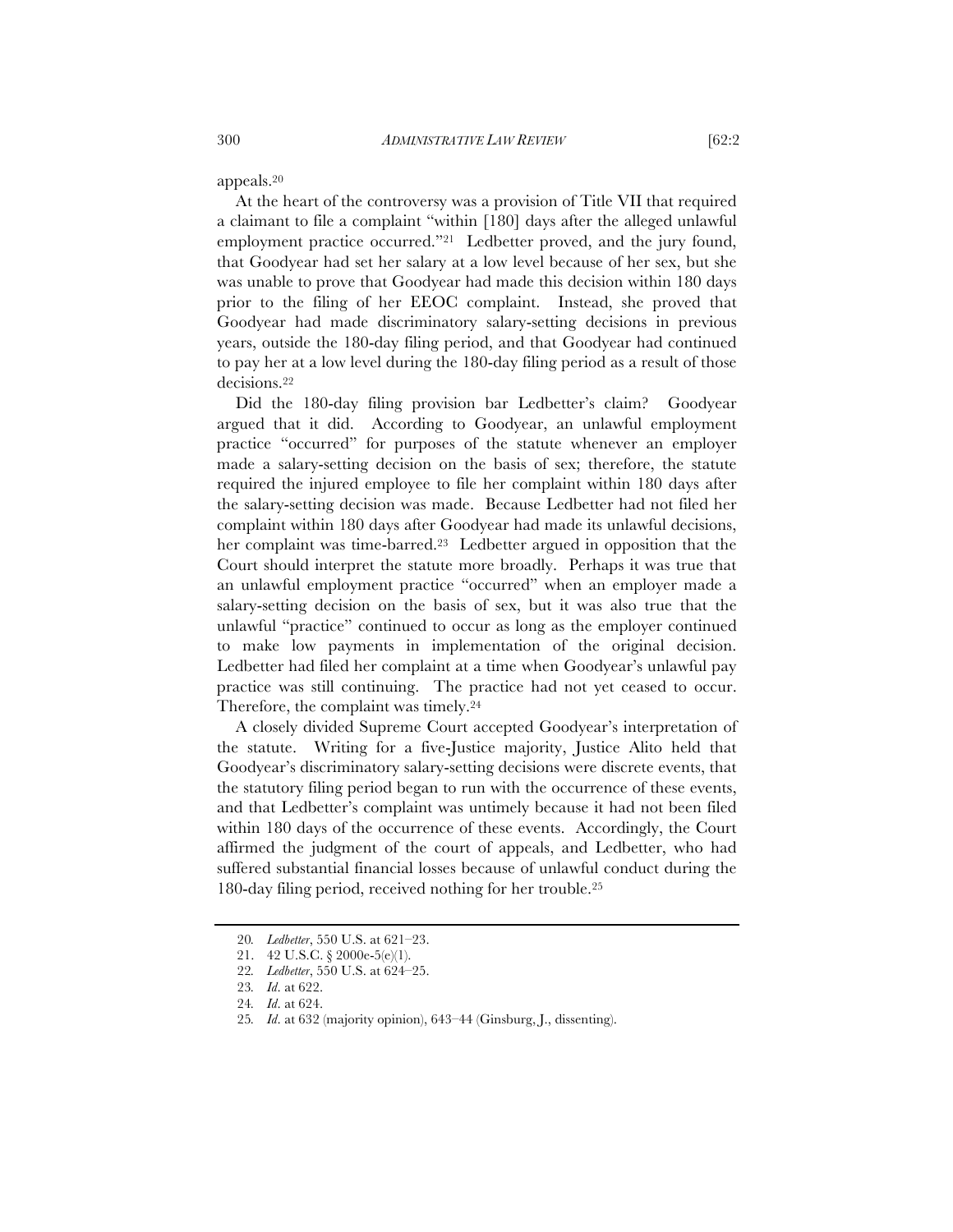appeals.20

At the heart of the controversy was a provision of Title VII that required a claimant to file a complaint "within [180] days after the alleged unlawful employment practice occurred."<sup>21</sup> Ledbetter proved, and the jury found, that Goodyear had set her salary at a low level because of her sex, but she was unable to prove that Goodyear had made this decision within 180 days prior to the filing of her EEOC complaint. Instead, she proved that Goodyear had made discriminatory salary-setting decisions in previous years, outside the 180-day filing period, and that Goodyear had continued to pay her at a low level during the 180-day filing period as a result of those decisions.22

Did the 180-day filing provision bar Ledbetter's claim? Goodyear argued that it did. According to Goodyear, an unlawful employment practice "occurred" for purposes of the statute whenever an employer made a salary-setting decision on the basis of sex; therefore, the statute required the injured employee to file her complaint within 180 days after the salary-setting decision was made. Because Ledbetter had not filed her complaint within 180 days after Goodyear had made its unlawful decisions, her complaint was time-barred.23 Ledbetter argued in opposition that the Court should interpret the statute more broadly. Perhaps it was true that an unlawful employment practice "occurred" when an employer made a salary-setting decision on the basis of sex, but it was also true that the unlawful "practice" continued to occur as long as the employer continued to make low payments in implementation of the original decision. Ledbetter had filed her complaint at a time when Goodyear's unlawful pay practice was still continuing. The practice had not yet ceased to occur. Therefore, the complaint was timely.24

A closely divided Supreme Court accepted Goodyear's interpretation of the statute. Writing for a five-Justice majority, Justice Alito held that Goodyear's discriminatory salary-setting decisions were discrete events, that the statutory filing period began to run with the occurrence of these events, and that Ledbetter's complaint was untimely because it had not been filed within 180 days of the occurrence of these events. Accordingly, the Court affirmed the judgment of the court of appeals, and Ledbetter, who had suffered substantial financial losses because of unlawful conduct during the 180-day filing period, received nothing for her trouble.25

<sup>20</sup>*. Ledbetter*, 550 U.S. at 621–23.

<sup>21.</sup> 42 U.S.C. § 2000e-5(e)(1).

<sup>22</sup>*. Ledbetter*, 550 U.S. at 624–25.

<sup>23</sup>*. Id*. at 622.

<sup>24</sup>*. Id*. at 624.

<sup>25</sup>*. Id*. at 632 (majority opinion), 643–44 (Ginsburg, J., dissenting).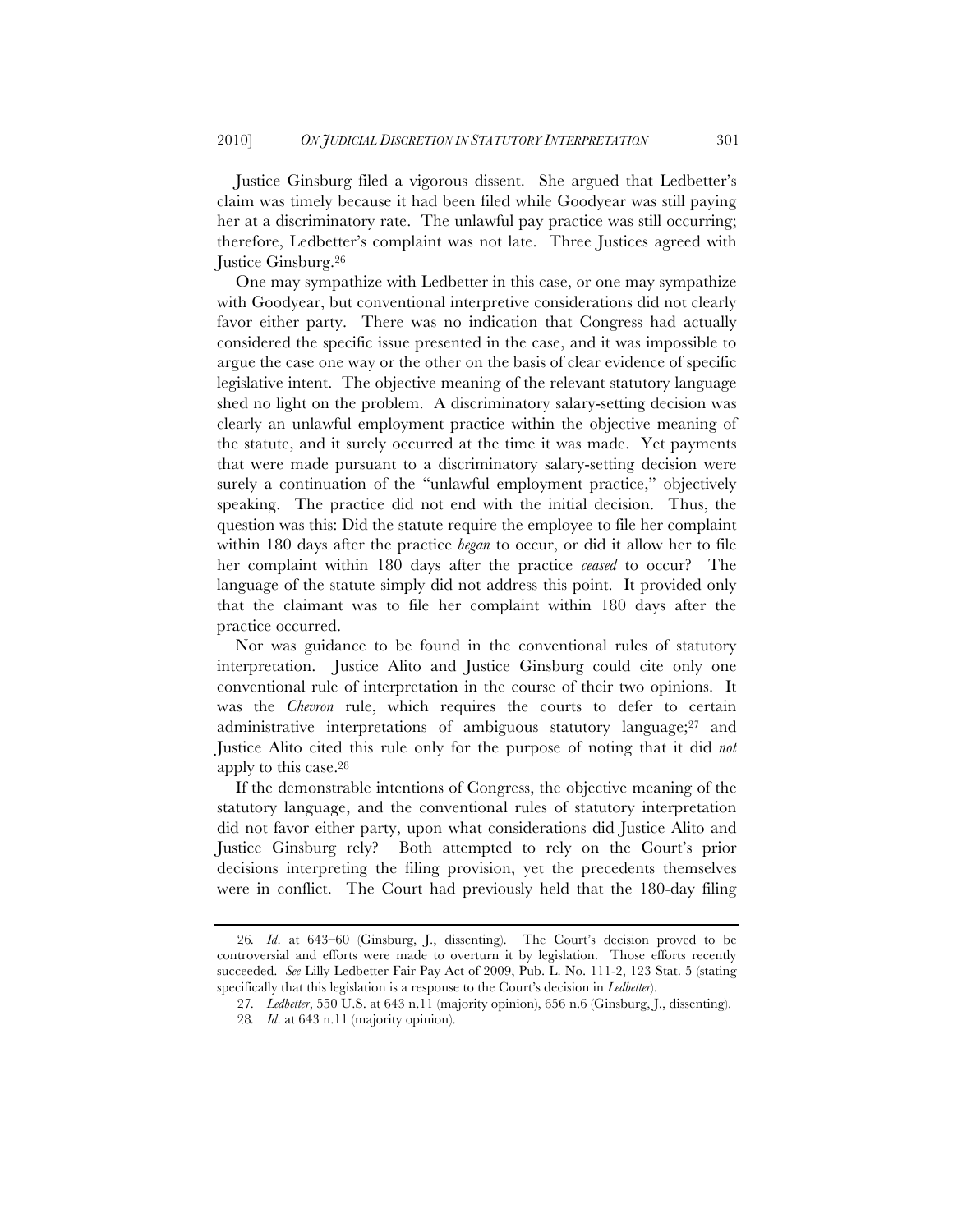Justice Ginsburg filed a vigorous dissent. She argued that Ledbetter's claim was timely because it had been filed while Goodyear was still paying her at a discriminatory rate. The unlawful pay practice was still occurring; therefore, Ledbetter's complaint was not late. Three Justices agreed with Justice Ginsburg.26

One may sympathize with Ledbetter in this case, or one may sympathize with Goodyear, but conventional interpretive considerations did not clearly favor either party. There was no indication that Congress had actually considered the specific issue presented in the case, and it was impossible to argue the case one way or the other on the basis of clear evidence of specific legislative intent. The objective meaning of the relevant statutory language shed no light on the problem. A discriminatory salary-setting decision was clearly an unlawful employment practice within the objective meaning of the statute, and it surely occurred at the time it was made. Yet payments that were made pursuant to a discriminatory salary-setting decision were surely a continuation of the "unlawful employment practice," objectively speaking. The practice did not end with the initial decision. Thus, the question was this: Did the statute require the employee to file her complaint within 180 days after the practice *began* to occur, or did it allow her to file her complaint within 180 days after the practice *ceased* to occur? The language of the statute simply did not address this point. It provided only that the claimant was to file her complaint within 180 days after the practice occurred.

Nor was guidance to be found in the conventional rules of statutory interpretation. Justice Alito and Justice Ginsburg could cite only one conventional rule of interpretation in the course of their two opinions. It was the *Chevron* rule, which requires the courts to defer to certain administrative interpretations of ambiguous statutory language;27 and Justice Alito cited this rule only for the purpose of noting that it did *not* apply to this case.28

If the demonstrable intentions of Congress, the objective meaning of the statutory language, and the conventional rules of statutory interpretation did not favor either party, upon what considerations did Justice Alito and Justice Ginsburg rely? Both attempted to rely on the Court's prior decisions interpreting the filing provision, yet the precedents themselves were in conflict. The Court had previously held that the 180-day filing

<sup>26</sup>*. Id*. at 643–60 (Ginsburg, J., dissenting). The Court's decision proved to be controversial and efforts were made to overturn it by legislation. Those efforts recently succeeded. *See* Lilly Ledbetter Fair Pay Act of 2009, Pub. L. No. 111-2, 123 Stat. 5 (stating specifically that this legislation is a response to the Court's decision in *Ledbetter*).

<sup>27</sup>*. Ledbetter*, 550 U.S. at 643 n.11 (majority opinion), 656 n.6 (Ginsburg, J., dissenting).

<sup>28</sup>*. Id*. at 643 n.11 (majority opinion).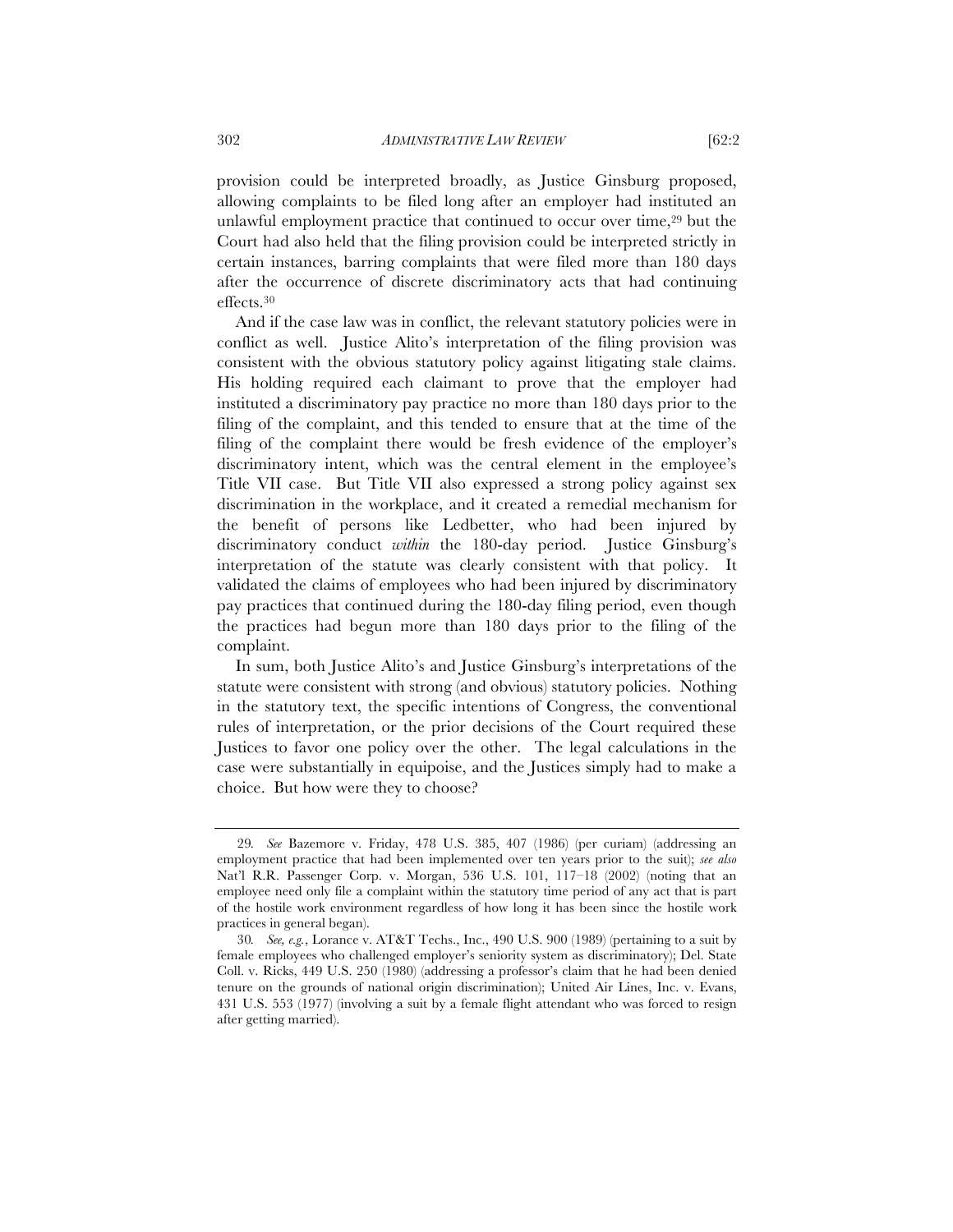provision could be interpreted broadly, as Justice Ginsburg proposed, allowing complaints to be filed long after an employer had instituted an unlawful employment practice that continued to occur over time,<sup>29</sup> but the Court had also held that the filing provision could be interpreted strictly in certain instances, barring complaints that were filed more than 180 days after the occurrence of discrete discriminatory acts that had continuing effects.30

And if the case law was in conflict, the relevant statutory policies were in conflict as well. Justice Alito's interpretation of the filing provision was consistent with the obvious statutory policy against litigating stale claims. His holding required each claimant to prove that the employer had instituted a discriminatory pay practice no more than 180 days prior to the filing of the complaint, and this tended to ensure that at the time of the filing of the complaint there would be fresh evidence of the employer's discriminatory intent, which was the central element in the employee's Title VII case. But Title VII also expressed a strong policy against sex discrimination in the workplace, and it created a remedial mechanism for the benefit of persons like Ledbetter, who had been injured by discriminatory conduct *within* the 180-day period. Justice Ginsburg's interpretation of the statute was clearly consistent with that policy. It validated the claims of employees who had been injured by discriminatory pay practices that continued during the 180-day filing period, even though the practices had begun more than 180 days prior to the filing of the complaint.

In sum, both Justice Alito's and Justice Ginsburg's interpretations of the statute were consistent with strong (and obvious) statutory policies. Nothing in the statutory text, the specific intentions of Congress, the conventional rules of interpretation, or the prior decisions of the Court required these Justices to favor one policy over the other. The legal calculations in the case were substantially in equipoise, and the Justices simply had to make a choice. But how were they to choose?

<sup>29</sup>*. See* Bazemore v. Friday, 478 U.S. 385, 407 (1986) (per curiam) (addressing an employment practice that had been implemented over ten years prior to the suit); *see also* Nat'l R.R. Passenger Corp. v. Morgan, 536 U.S. 101, 117–18 (2002) (noting that an employee need only file a complaint within the statutory time period of any act that is part of the hostile work environment regardless of how long it has been since the hostile work practices in general began).

<sup>30</sup>*. See, e.g.*, Lorance v. AT&T Techs., Inc., 490 U.S. 900 (1989) (pertaining to a suit by female employees who challenged employer's seniority system as discriminatory); Del. State Coll. v. Ricks, 449 U.S. 250 (1980) (addressing a professor's claim that he had been denied tenure on the grounds of national origin discrimination); United Air Lines, Inc. v. Evans, 431 U.S. 553 (1977) (involving a suit by a female flight attendant who was forced to resign after getting married).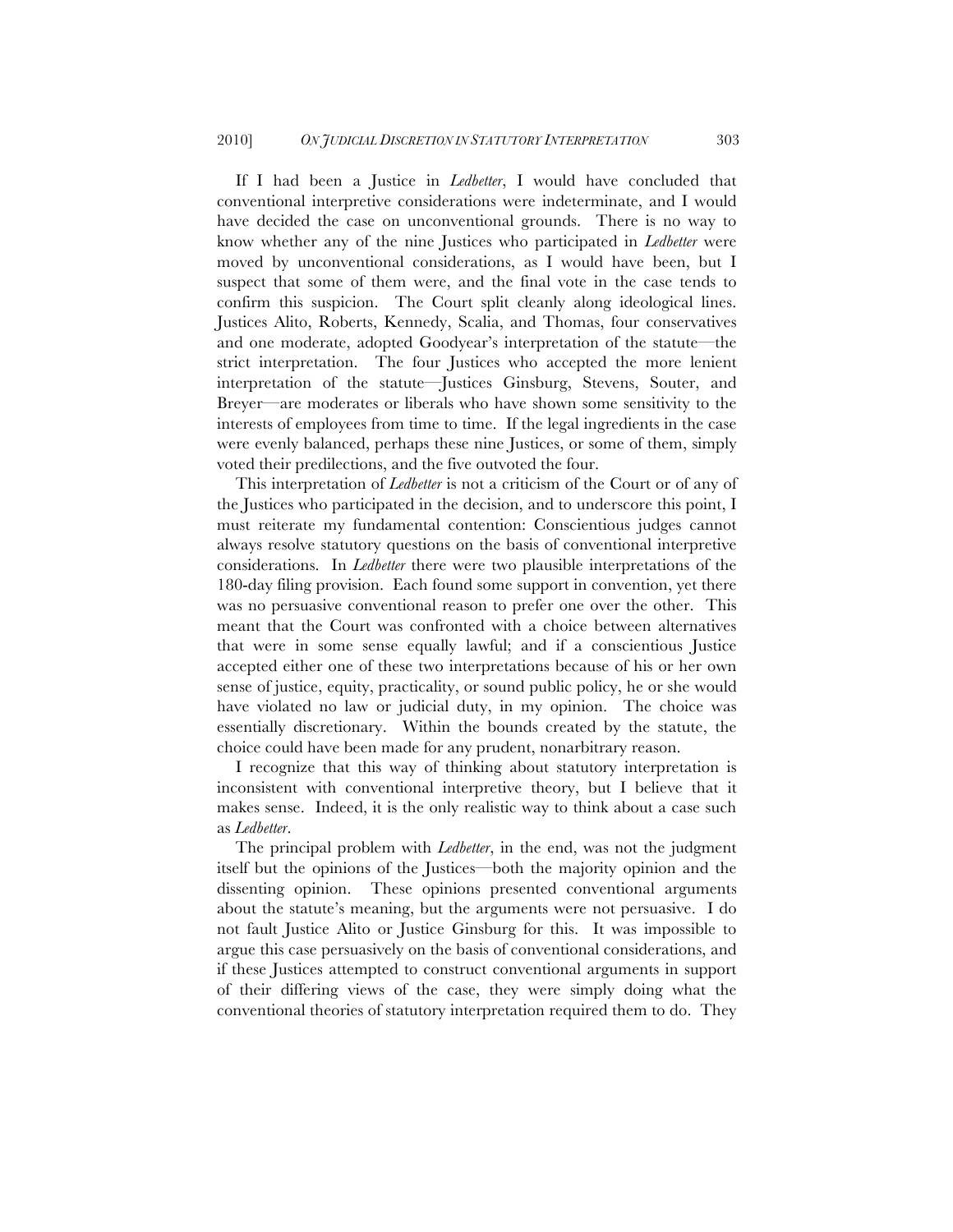If I had been a Justice in *Ledbetter*, I would have concluded that conventional interpretive considerations were indeterminate, and I would have decided the case on unconventional grounds. There is no way to know whether any of the nine Justices who participated in *Ledbetter* were moved by unconventional considerations, as I would have been, but I suspect that some of them were, and the final vote in the case tends to confirm this suspicion. The Court split cleanly along ideological lines. Justices Alito, Roberts, Kennedy, Scalia, and Thomas, four conservatives and one moderate, adopted Goodyear's interpretation of the statute—the strict interpretation. The four Justices who accepted the more lenient interpretation of the statute—Justices Ginsburg, Stevens, Souter, and Breyer—are moderates or liberals who have shown some sensitivity to the interests of employees from time to time. If the legal ingredients in the case were evenly balanced, perhaps these nine Justices, or some of them, simply voted their predilections, and the five outvoted the four.

This interpretation of *Ledbetter* is not a criticism of the Court or of any of the Justices who participated in the decision, and to underscore this point, I must reiterate my fundamental contention: Conscientious judges cannot always resolve statutory questions on the basis of conventional interpretive considerations. In *Ledbetter* there were two plausible interpretations of the 180-day filing provision. Each found some support in convention, yet there was no persuasive conventional reason to prefer one over the other. This meant that the Court was confronted with a choice between alternatives that were in some sense equally lawful; and if a conscientious Justice accepted either one of these two interpretations because of his or her own sense of justice, equity, practicality, or sound public policy, he or she would have violated no law or judicial duty, in my opinion. The choice was essentially discretionary. Within the bounds created by the statute, the choice could have been made for any prudent, nonarbitrary reason.

I recognize that this way of thinking about statutory interpretation is inconsistent with conventional interpretive theory, but I believe that it makes sense. Indeed, it is the only realistic way to think about a case such as *Ledbetter*.

The principal problem with *Ledbetter*, in the end, was not the judgment itself but the opinions of the Justices—both the majority opinion and the dissenting opinion. These opinions presented conventional arguments about the statute's meaning, but the arguments were not persuasive. I do not fault Justice Alito or Justice Ginsburg for this. It was impossible to argue this case persuasively on the basis of conventional considerations, and if these Justices attempted to construct conventional arguments in support of their differing views of the case, they were simply doing what the conventional theories of statutory interpretation required them to do. They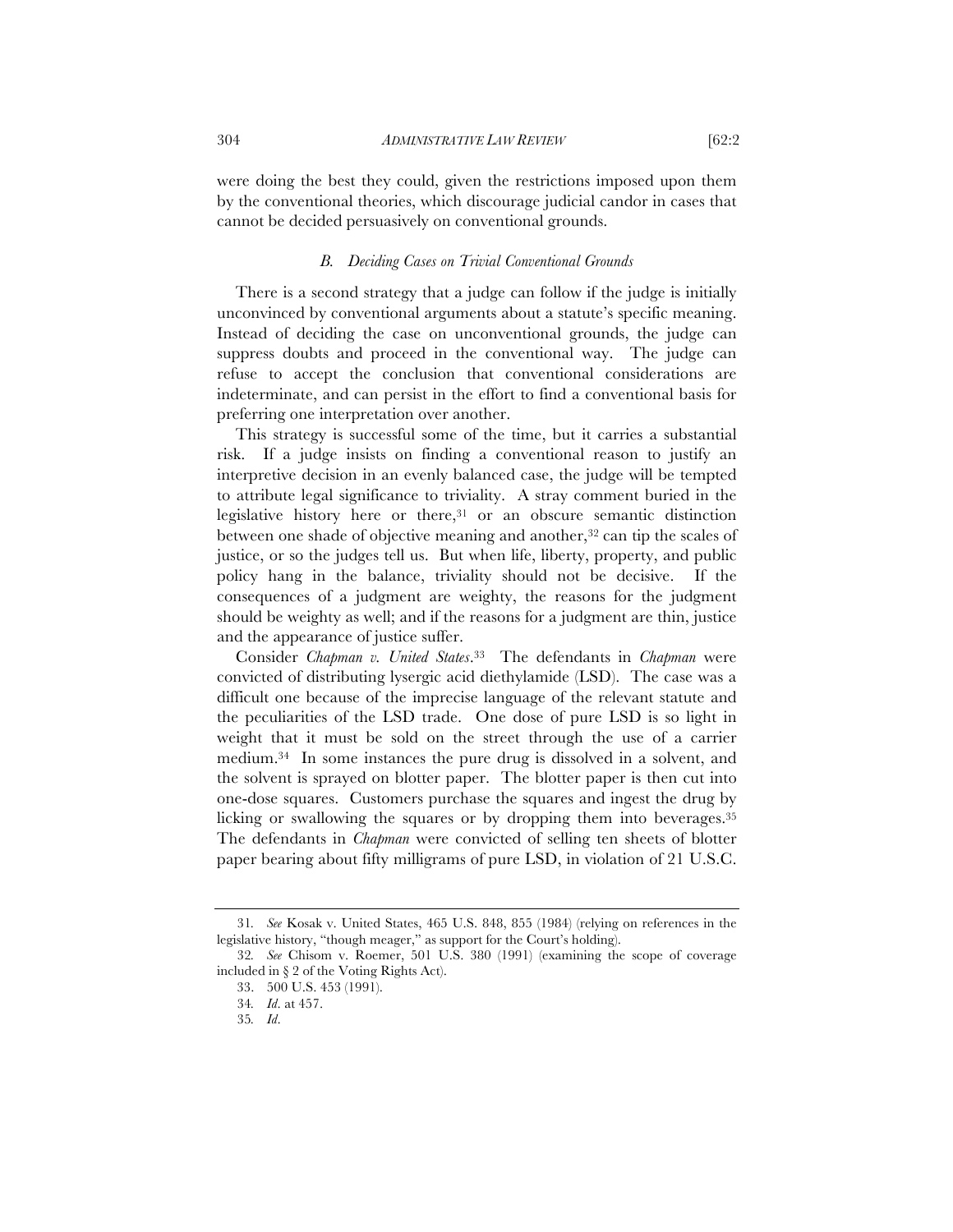were doing the best they could, given the restrictions imposed upon them by the conventional theories, which discourage judicial candor in cases that cannot be decided persuasively on conventional grounds.

#### *B. Deciding Cases on Trivial Conventional Grounds*

There is a second strategy that a judge can follow if the judge is initially unconvinced by conventional arguments about a statute's specific meaning. Instead of deciding the case on unconventional grounds, the judge can suppress doubts and proceed in the conventional way. The judge can refuse to accept the conclusion that conventional considerations are indeterminate, and can persist in the effort to find a conventional basis for preferring one interpretation over another.

This strategy is successful some of the time, but it carries a substantial risk. If a judge insists on finding a conventional reason to justify an interpretive decision in an evenly balanced case, the judge will be tempted to attribute legal significance to triviality. A stray comment buried in the legislative history here or there,31 or an obscure semantic distinction between one shade of objective meaning and another,<sup>32</sup> can tip the scales of justice, or so the judges tell us. But when life, liberty, property, and public policy hang in the balance, triviality should not be decisive. If the consequences of a judgment are weighty, the reasons for the judgment should be weighty as well; and if the reasons for a judgment are thin, justice and the appearance of justice suffer.

Consider *Chapman v. United States*.33 The defendants in *Chapman* were convicted of distributing lysergic acid diethylamide (LSD). The case was a difficult one because of the imprecise language of the relevant statute and the peculiarities of the LSD trade. One dose of pure LSD is so light in weight that it must be sold on the street through the use of a carrier medium.34 In some instances the pure drug is dissolved in a solvent, and the solvent is sprayed on blotter paper. The blotter paper is then cut into one-dose squares. Customers purchase the squares and ingest the drug by licking or swallowing the squares or by dropping them into beverages.35 The defendants in *Chapman* were convicted of selling ten sheets of blotter paper bearing about fifty milligrams of pure LSD, in violation of 21 U.S.C.

<sup>31</sup>*. See* Kosak v. United States, 465 U.S. 848, 855 (1984) (relying on references in the legislative history, "though meager," as support for the Court's holding).

<sup>32</sup>*. See* Chisom v. Roemer, 501 U.S. 380 (1991) (examining the scope of coverage included in § 2 of the Voting Rights Act).

<sup>33.</sup> 500 U.S. 453 (1991).

<sup>34</sup>*. Id*. at 457.

<sup>35</sup>*. Id*.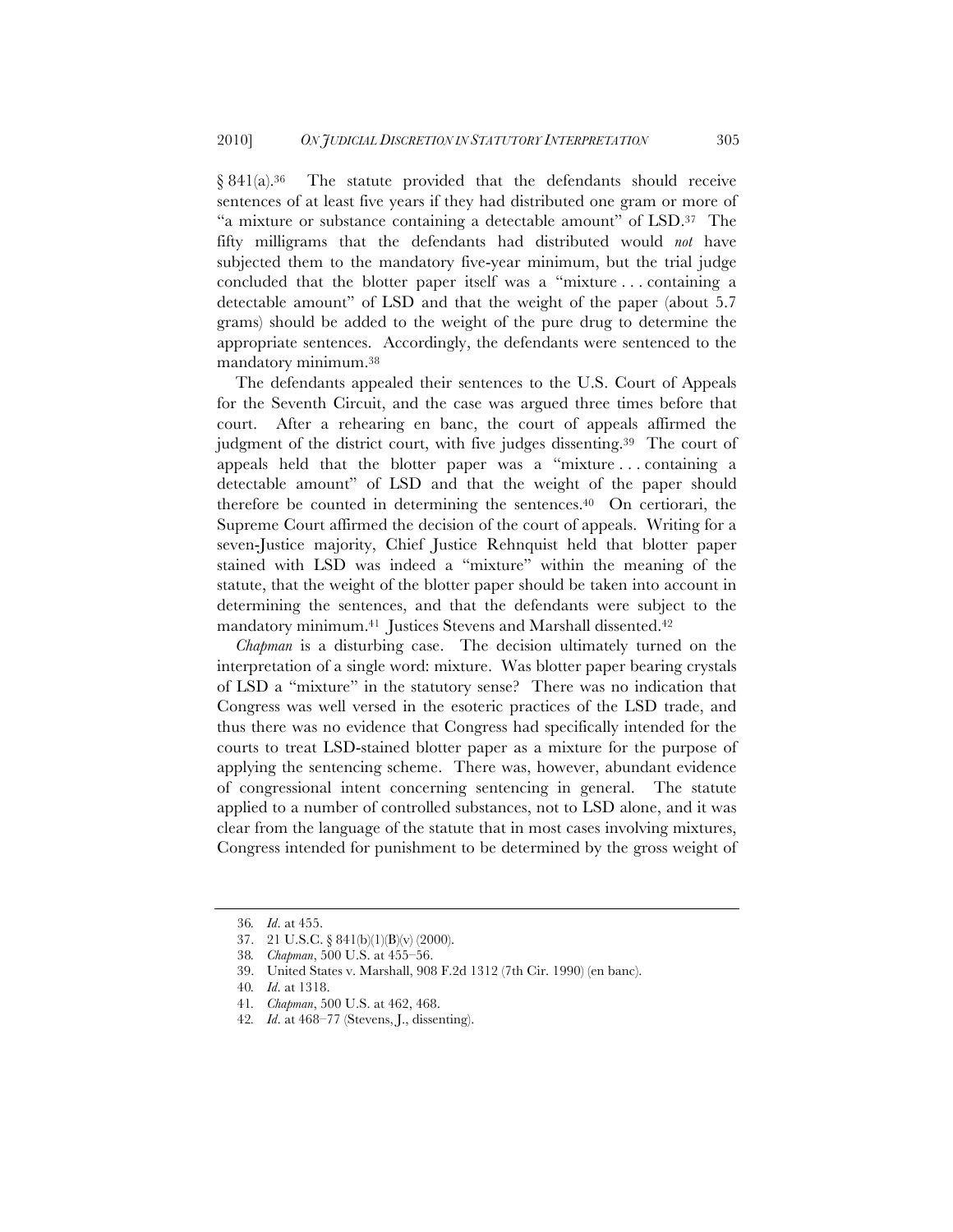§ 841(a).<sup>36</sup> The statute provided that the defendants should receive sentences of at least five years if they had distributed one gram or more of "a mixture or substance containing a detectable amount" of LSD.37 The fifty milligrams that the defendants had distributed would *not* have subjected them to the mandatory five-year minimum, but the trial judge concluded that the blotter paper itself was a "mixture . . . containing a detectable amount" of LSD and that the weight of the paper (about 5.7 grams) should be added to the weight of the pure drug to determine the appropriate sentences. Accordingly, the defendants were sentenced to the mandatory minimum.38

The defendants appealed their sentences to the U.S. Court of Appeals for the Seventh Circuit, and the case was argued three times before that court. After a rehearing en banc, the court of appeals affirmed the judgment of the district court, with five judges dissenting.<sup>39</sup> The court of appeals held that the blotter paper was a "mixture . . . containing a detectable amount" of LSD and that the weight of the paper should therefore be counted in determining the sentences.40 On certiorari, the Supreme Court affirmed the decision of the court of appeals. Writing for a seven-Justice majority, Chief Justice Rehnquist held that blotter paper stained with LSD was indeed a "mixture" within the meaning of the statute, that the weight of the blotter paper should be taken into account in determining the sentences, and that the defendants were subject to the mandatory minimum.<sup>41</sup> Justices Stevens and Marshall dissented.<sup>42</sup>

*Chapman* is a disturbing case. The decision ultimately turned on the interpretation of a single word: mixture. Was blotter paper bearing crystals of LSD a "mixture" in the statutory sense? There was no indication that Congress was well versed in the esoteric practices of the LSD trade, and thus there was no evidence that Congress had specifically intended for the courts to treat LSD-stained blotter paper as a mixture for the purpose of applying the sentencing scheme. There was, however, abundant evidence of congressional intent concerning sentencing in general. The statute applied to a number of controlled substances, not to LSD alone, and it was clear from the language of the statute that in most cases involving mixtures, Congress intended for punishment to be determined by the gross weight of

<sup>36</sup>*. Id*. at 455.

<sup>37.</sup> 21 U.S.C. § 841(b)(1)(B)(v) (2000).

<sup>38</sup>*. Chapman*, 500 U.S. at 455–56.

<sup>39.</sup> United States v. Marshall, 908 F.2d 1312 (7th Cir. 1990) (en banc).

<sup>40</sup>*. Id*. at 1318.

<sup>41</sup>*. Chapman*, 500 U.S. at 462, 468.

<sup>42</sup>*. Id*. at 468–77 (Stevens, J., dissenting).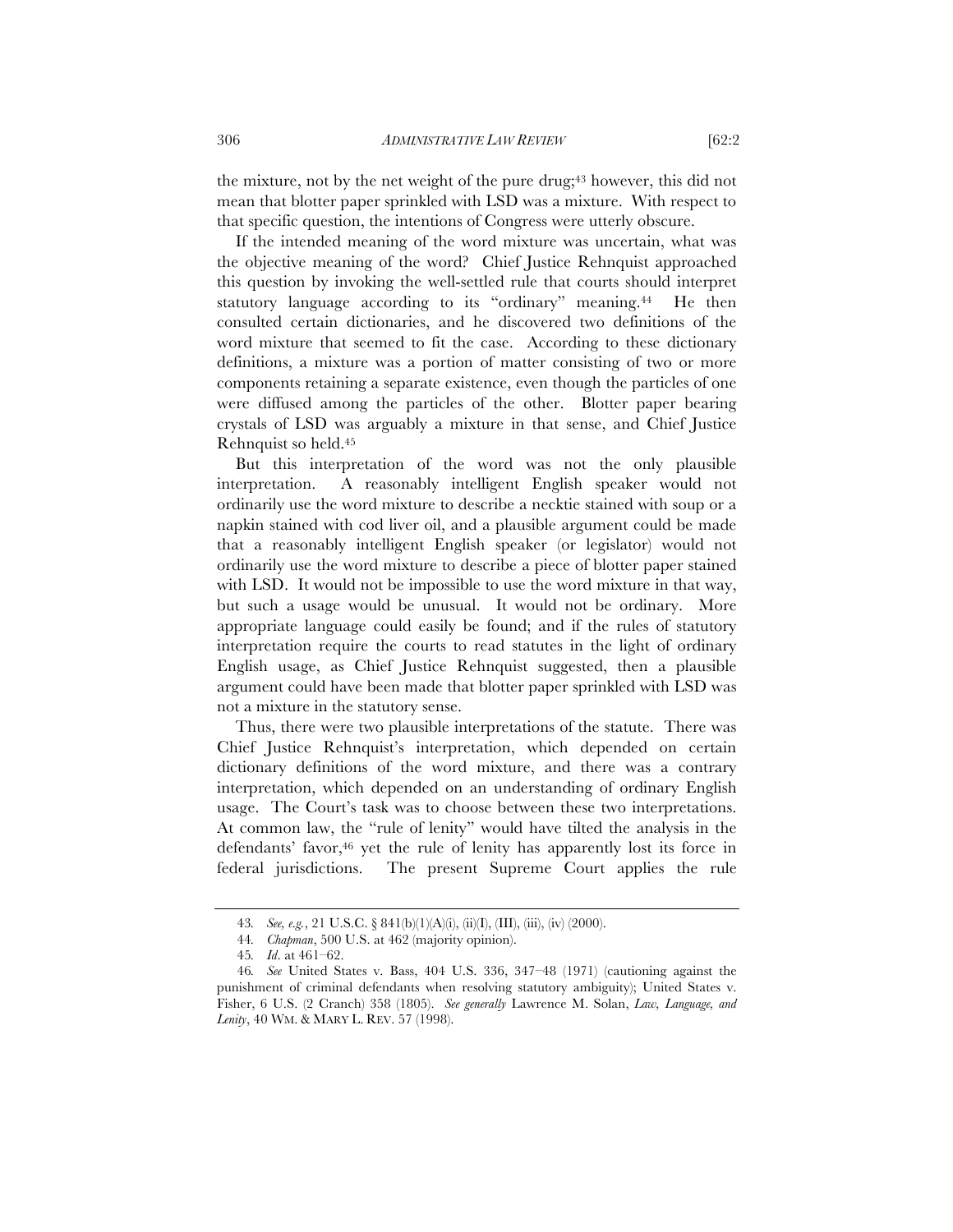the mixture, not by the net weight of the pure drug;<sup>43</sup> however, this did not mean that blotter paper sprinkled with LSD was a mixture. With respect to that specific question, the intentions of Congress were utterly obscure.

If the intended meaning of the word mixture was uncertain, what was the objective meaning of the word? Chief Justice Rehnquist approached this question by invoking the well-settled rule that courts should interpret statutory language according to its "ordinary" meaning.44 He then consulted certain dictionaries, and he discovered two definitions of the word mixture that seemed to fit the case. According to these dictionary definitions, a mixture was a portion of matter consisting of two or more components retaining a separate existence, even though the particles of one were diffused among the particles of the other. Blotter paper bearing crystals of LSD was arguably a mixture in that sense, and Chief Justice Rehnquist so held.45

But this interpretation of the word was not the only plausible interpretation. A reasonably intelligent English speaker would not ordinarily use the word mixture to describe a necktie stained with soup or a napkin stained with cod liver oil, and a plausible argument could be made that a reasonably intelligent English speaker (or legislator) would not ordinarily use the word mixture to describe a piece of blotter paper stained with LSD. It would not be impossible to use the word mixture in that way, but such a usage would be unusual. It would not be ordinary. More appropriate language could easily be found; and if the rules of statutory interpretation require the courts to read statutes in the light of ordinary English usage, as Chief Justice Rehnquist suggested, then a plausible argument could have been made that blotter paper sprinkled with LSD was not a mixture in the statutory sense.

Thus, there were two plausible interpretations of the statute. There was Chief Justice Rehnquist's interpretation, which depended on certain dictionary definitions of the word mixture, and there was a contrary interpretation, which depended on an understanding of ordinary English usage. The Court's task was to choose between these two interpretations. At common law, the "rule of lenity" would have tilted the analysis in the defendants' favor,<sup>46</sup> yet the rule of lenity has apparently lost its force in federal jurisdictions. The present Supreme Court applies the rule

<sup>43</sup>*. See, e.g.*, 21 U.S.C. § 841(b)(1)(A)(i), (ii)(I), (III), (iii), (iv) (2000).

<sup>44</sup>*. Chapman*, 500 U.S. at 462 (majority opinion).

<sup>45</sup>*. Id*. at 461–62.

<sup>46</sup>*. See* United States v. Bass, 404 U.S. 336, 347–48 (1971) (cautioning against the punishment of criminal defendants when resolving statutory ambiguity); United States v. Fisher, 6 U.S. (2 Cranch) 358 (1805). *See generally* Lawrence M. Solan, *Law, Language, and Lenity*, 40 WM. & MARY L. REV. 57 (1998).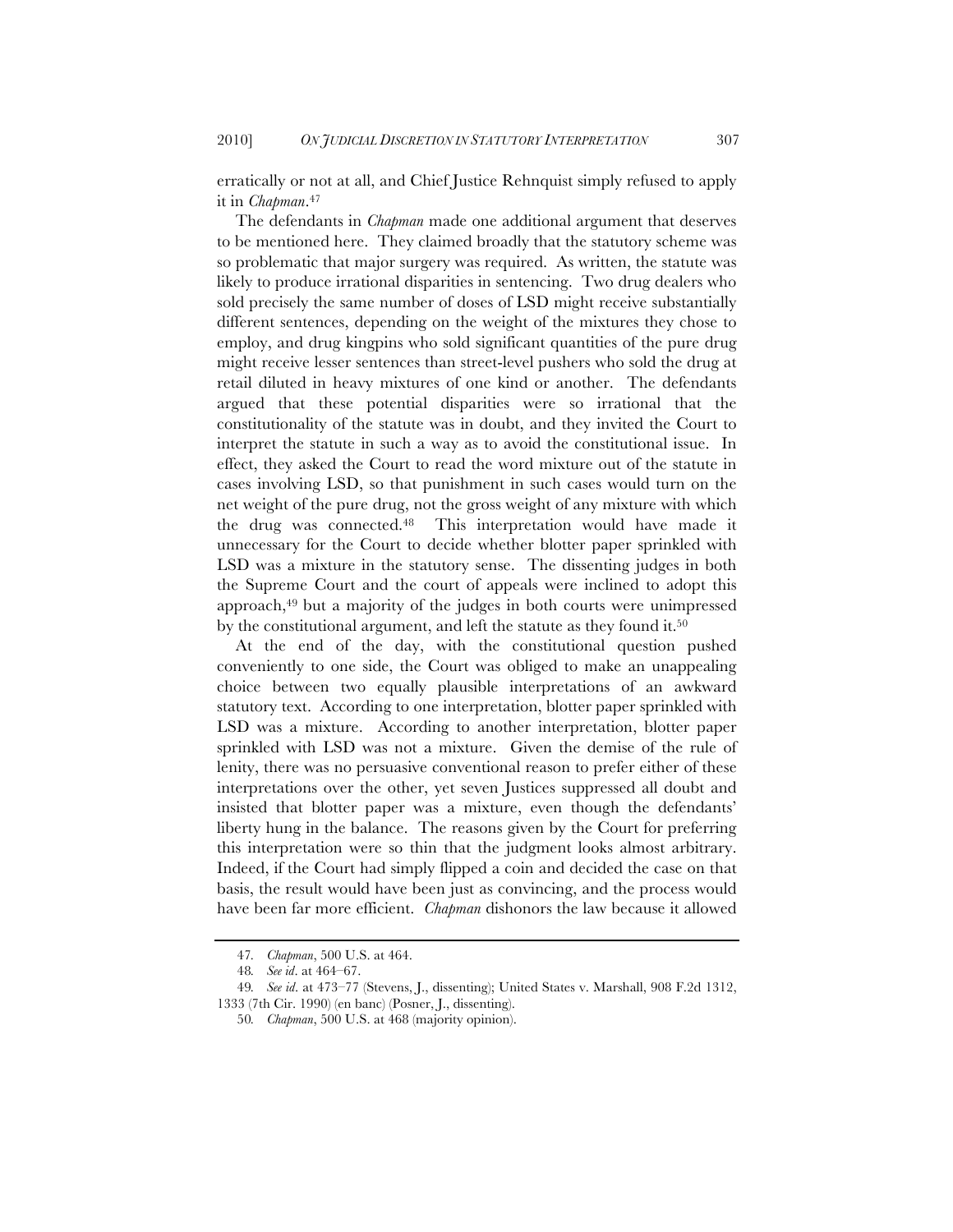erratically or not at all, and Chief Justice Rehnquist simply refused to apply it in *Chapman*.47

The defendants in *Chapman* made one additional argument that deserves to be mentioned here. They claimed broadly that the statutory scheme was so problematic that major surgery was required. As written, the statute was likely to produce irrational disparities in sentencing. Two drug dealers who sold precisely the same number of doses of LSD might receive substantially different sentences, depending on the weight of the mixtures they chose to employ, and drug kingpins who sold significant quantities of the pure drug might receive lesser sentences than street-level pushers who sold the drug at retail diluted in heavy mixtures of one kind or another. The defendants argued that these potential disparities were so irrational that the constitutionality of the statute was in doubt, and they invited the Court to interpret the statute in such a way as to avoid the constitutional issue. In effect, they asked the Court to read the word mixture out of the statute in cases involving LSD, so that punishment in such cases would turn on the net weight of the pure drug, not the gross weight of any mixture with which the drug was connected.48 This interpretation would have made it unnecessary for the Court to decide whether blotter paper sprinkled with LSD was a mixture in the statutory sense. The dissenting judges in both the Supreme Court and the court of appeals were inclined to adopt this approach,49 but a majority of the judges in both courts were unimpressed by the constitutional argument, and left the statute as they found it.50

At the end of the day, with the constitutional question pushed conveniently to one side, the Court was obliged to make an unappealing choice between two equally plausible interpretations of an awkward statutory text. According to one interpretation, blotter paper sprinkled with LSD was a mixture. According to another interpretation, blotter paper sprinkled with LSD was not a mixture. Given the demise of the rule of lenity, there was no persuasive conventional reason to prefer either of these interpretations over the other, yet seven Justices suppressed all doubt and insisted that blotter paper was a mixture, even though the defendants' liberty hung in the balance. The reasons given by the Court for preferring this interpretation were so thin that the judgment looks almost arbitrary. Indeed, if the Court had simply flipped a coin and decided the case on that basis, the result would have been just as convincing, and the process would have been far more efficient. *Chapman* dishonors the law because it allowed

<sup>47</sup>*. Chapman*, 500 U.S. at 464.

<sup>48</sup>*. See id*. at 464–67.

<sup>49</sup>*. See id*. at 473–77 (Stevens, J., dissenting); United States v. Marshall, 908 F.2d 1312, 1333 (7th Cir. 1990) (en banc) (Posner, J., dissenting).

<sup>50</sup>*. Chapman*, 500 U.S. at 468 (majority opinion).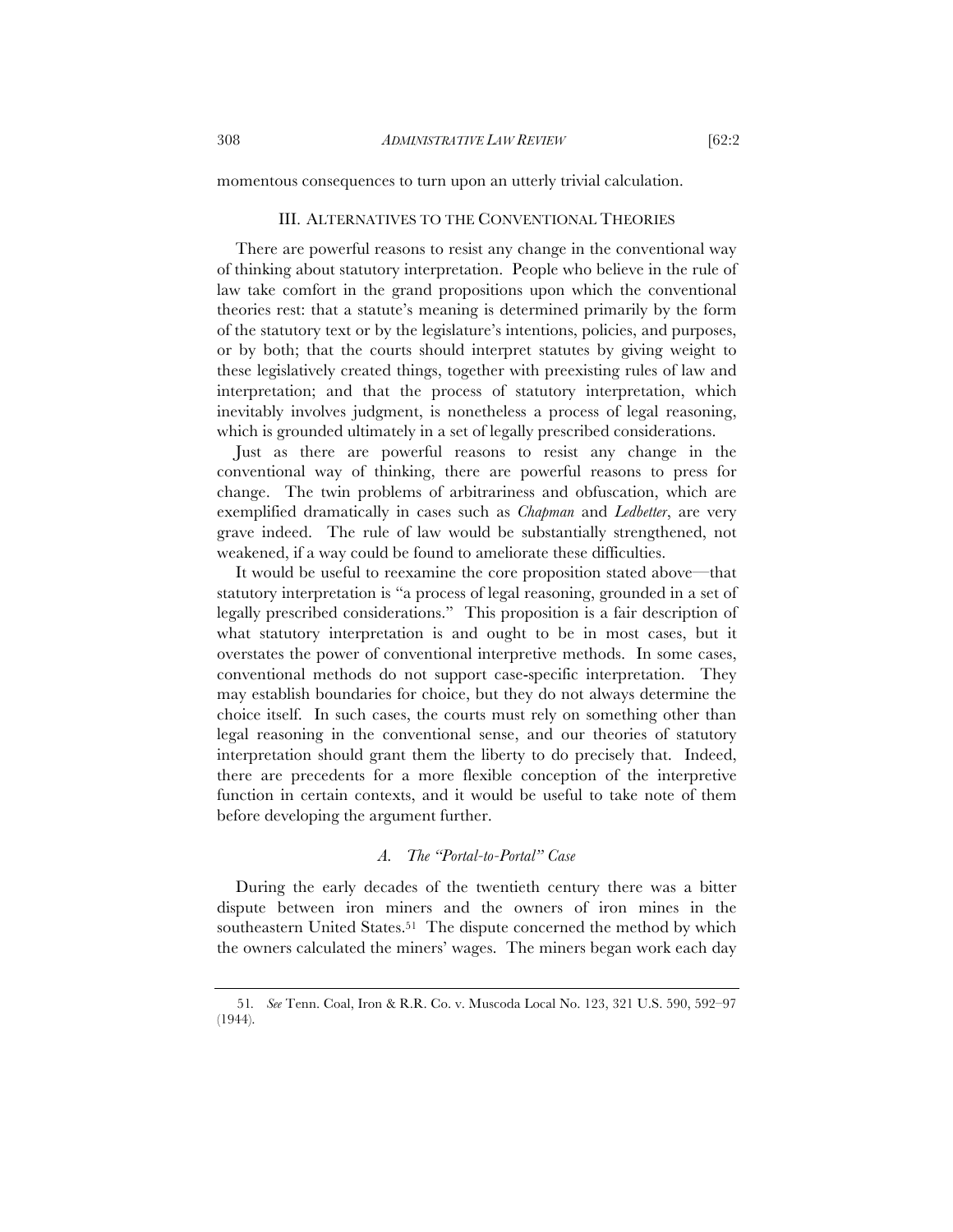#### III. ALTERNATIVES TO THE CONVENTIONAL THEORIES

There are powerful reasons to resist any change in the conventional way of thinking about statutory interpretation. People who believe in the rule of law take comfort in the grand propositions upon which the conventional theories rest: that a statute's meaning is determined primarily by the form of the statutory text or by the legislature's intentions, policies, and purposes, or by both; that the courts should interpret statutes by giving weight to these legislatively created things, together with preexisting rules of law and interpretation; and that the process of statutory interpretation, which inevitably involves judgment, is nonetheless a process of legal reasoning, which is grounded ultimately in a set of legally prescribed considerations.

Just as there are powerful reasons to resist any change in the conventional way of thinking, there are powerful reasons to press for change. The twin problems of arbitrariness and obfuscation, which are exemplified dramatically in cases such as *Chapman* and *Ledbetter*, are very grave indeed. The rule of law would be substantially strengthened, not weakened, if a way could be found to ameliorate these difficulties.

It would be useful to reexamine the core proposition stated above—that statutory interpretation is "a process of legal reasoning, grounded in a set of legally prescribed considerations." This proposition is a fair description of what statutory interpretation is and ought to be in most cases, but it overstates the power of conventional interpretive methods. In some cases, conventional methods do not support case-specific interpretation. They may establish boundaries for choice, but they do not always determine the choice itself. In such cases, the courts must rely on something other than legal reasoning in the conventional sense, and our theories of statutory interpretation should grant them the liberty to do precisely that. Indeed, there are precedents for a more flexible conception of the interpretive function in certain contexts, and it would be useful to take note of them before developing the argument further.

#### *A. The "Portal-to-Portal" Case*

During the early decades of the twentieth century there was a bitter dispute between iron miners and the owners of iron mines in the southeastern United States.51 The dispute concerned the method by which the owners calculated the miners' wages. The miners began work each day

<sup>51</sup>*. See* Tenn. Coal, Iron & R.R. Co. v. Muscoda Local No. 123, 321 U.S. 590, 592–97 (1944).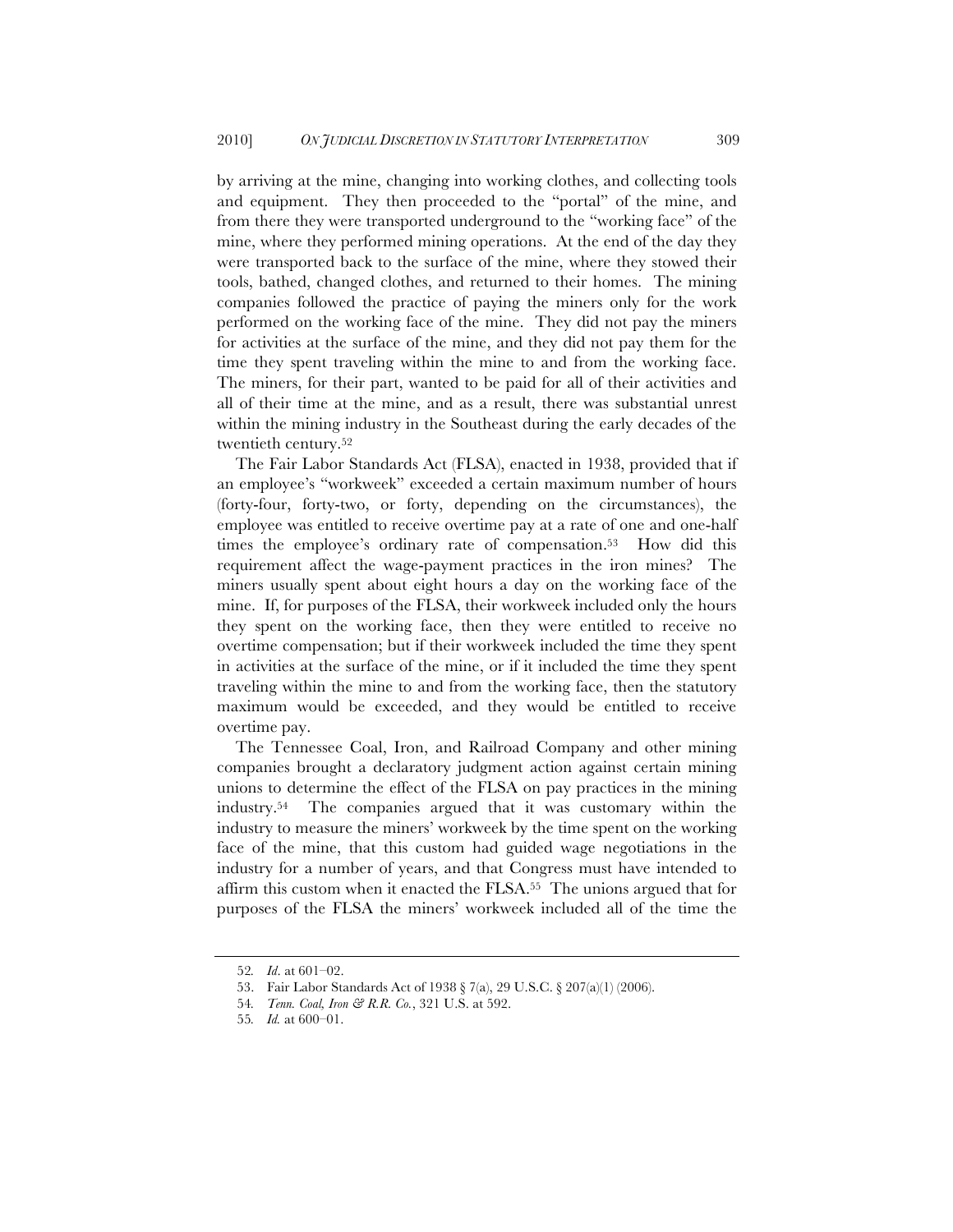by arriving at the mine, changing into working clothes, and collecting tools and equipment. They then proceeded to the "portal" of the mine, and from there they were transported underground to the "working face" of the mine, where they performed mining operations. At the end of the day they were transported back to the surface of the mine, where they stowed their tools, bathed, changed clothes, and returned to their homes. The mining companies followed the practice of paying the miners only for the work performed on the working face of the mine. They did not pay the miners for activities at the surface of the mine, and they did not pay them for the time they spent traveling within the mine to and from the working face. The miners, for their part, wanted to be paid for all of their activities and all of their time at the mine, and as a result, there was substantial unrest within the mining industry in the Southeast during the early decades of the twentieth century.52

The Fair Labor Standards Act (FLSA), enacted in 1938, provided that if an employee's "workweek" exceeded a certain maximum number of hours (forty-four, forty-two, or forty, depending on the circumstances), the employee was entitled to receive overtime pay at a rate of one and one-half times the employee's ordinary rate of compensation.<sup>53</sup> How did this requirement affect the wage-payment practices in the iron mines? The miners usually spent about eight hours a day on the working face of the mine. If, for purposes of the FLSA, their workweek included only the hours they spent on the working face, then they were entitled to receive no overtime compensation; but if their workweek included the time they spent in activities at the surface of the mine, or if it included the time they spent traveling within the mine to and from the working face, then the statutory maximum would be exceeded, and they would be entitled to receive overtime pay.

The Tennessee Coal, Iron, and Railroad Company and other mining companies brought a declaratory judgment action against certain mining unions to determine the effect of the FLSA on pay practices in the mining industry.54 The companies argued that it was customary within the industry to measure the miners' workweek by the time spent on the working face of the mine, that this custom had guided wage negotiations in the industry for a number of years, and that Congress must have intended to affirm this custom when it enacted the FLSA.55 The unions argued that for purposes of the FLSA the miners' workweek included all of the time the

<sup>52</sup>*. Id*. at 601–02.

<sup>53.</sup> Fair Labor Standards Act of 1938 § 7(a), 29 U.S.C. § 207(a)(1) (2006).

<sup>54</sup>*. Tenn. Coal, Iron & R.R. Co.*, 321 U.S. at 592.

<sup>55</sup>*. Id.* at 600–01.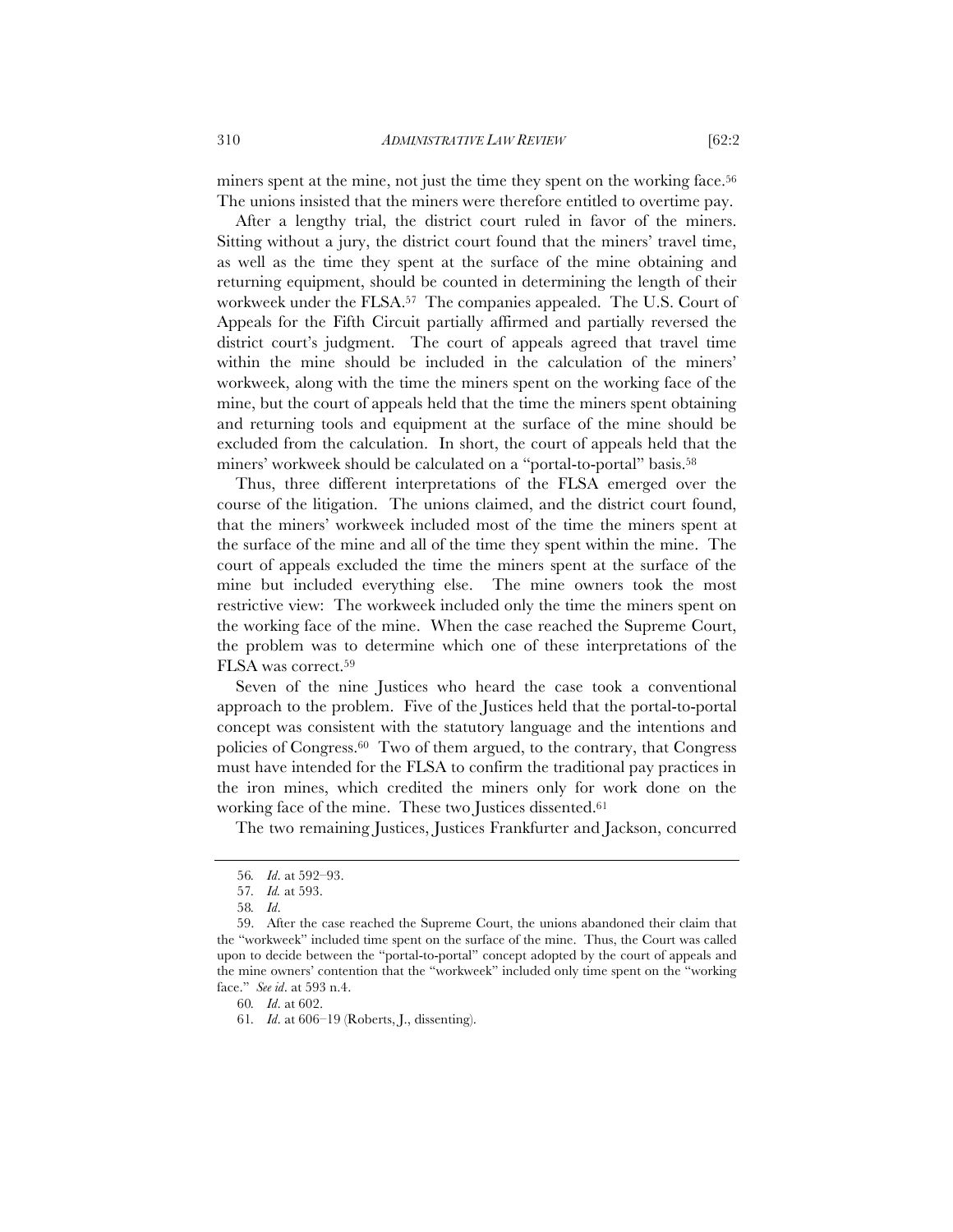miners spent at the mine, not just the time they spent on the working face.56 The unions insisted that the miners were therefore entitled to overtime pay.

After a lengthy trial, the district court ruled in favor of the miners. Sitting without a jury, the district court found that the miners' travel time, as well as the time they spent at the surface of the mine obtaining and returning equipment, should be counted in determining the length of their workweek under the FLSA.57 The companies appealed. The U.S. Court of Appeals for the Fifth Circuit partially affirmed and partially reversed the district court's judgment. The court of appeals agreed that travel time within the mine should be included in the calculation of the miners' workweek, along with the time the miners spent on the working face of the mine, but the court of appeals held that the time the miners spent obtaining and returning tools and equipment at the surface of the mine should be excluded from the calculation. In short, the court of appeals held that the miners' workweek should be calculated on a "portal-to-portal" basis.58

Thus, three different interpretations of the FLSA emerged over the course of the litigation. The unions claimed, and the district court found, that the miners' workweek included most of the time the miners spent at the surface of the mine and all of the time they spent within the mine. The court of appeals excluded the time the miners spent at the surface of the mine but included everything else. The mine owners took the most restrictive view: The workweek included only the time the miners spent on the working face of the mine. When the case reached the Supreme Court, the problem was to determine which one of these interpretations of the FLSA was correct.59

Seven of the nine Justices who heard the case took a conventional approach to the problem. Five of the Justices held that the portal-to-portal concept was consistent with the statutory language and the intentions and policies of Congress.60 Two of them argued, to the contrary, that Congress must have intended for the FLSA to confirm the traditional pay practices in the iron mines, which credited the miners only for work done on the working face of the mine. These two Justices dissented.61

The two remaining Justices, Justices Frankfurter and Jackson, concurred

<sup>56</sup>*. Id*. at 592–93.

<sup>57</sup>*. Id.* at 593.

<sup>58</sup>*. Id*.

<sup>59.</sup> After the case reached the Supreme Court, the unions abandoned their claim that the "workweek" included time spent on the surface of the mine. Thus, the Court was called upon to decide between the "portal-to-portal" concept adopted by the court of appeals and the mine owners' contention that the "workweek" included only time spent on the "working face." *See id*. at 593 n.4.

<sup>60</sup>*. Id*. at 602.

<sup>61</sup>*. Id*. at 606–19 (Roberts, J., dissenting).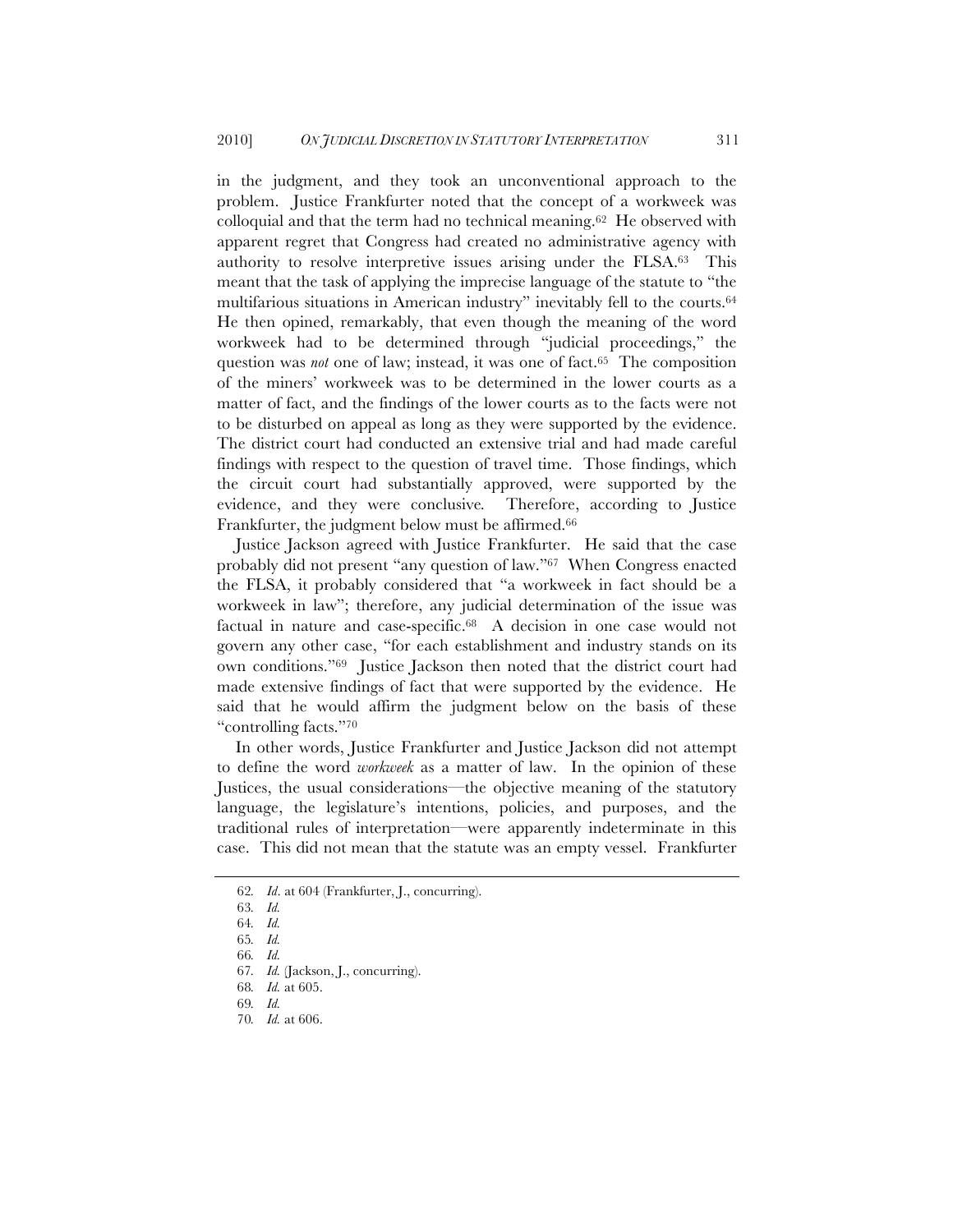in the judgment, and they took an unconventional approach to the problem. Justice Frankfurter noted that the concept of a workweek was colloquial and that the term had no technical meaning.62 He observed with apparent regret that Congress had created no administrative agency with authority to resolve interpretive issues arising under the FLSA.63 This meant that the task of applying the imprecise language of the statute to "the multifarious situations in American industry" inevitably fell to the courts.64 He then opined, remarkably, that even though the meaning of the word workweek had to be determined through "judicial proceedings," the question was *not* one of law; instead, it was one of fact.<sup>65</sup> The composition of the miners' workweek was to be determined in the lower courts as a matter of fact, and the findings of the lower courts as to the facts were not to be disturbed on appeal as long as they were supported by the evidence. The district court had conducted an extensive trial and had made careful findings with respect to the question of travel time. Those findings, which the circuit court had substantially approved, were supported by the evidence, and they were conclusive*.* Therefore, according to Justice Frankfurter, the judgment below must be affirmed.66

Justice Jackson agreed with Justice Frankfurter. He said that the case probably did not present "any question of law."67 When Congress enacted the FLSA, it probably considered that "a workweek in fact should be a workweek in law"; therefore, any judicial determination of the issue was factual in nature and case-specific.68 A decision in one case would not govern any other case, "for each establishment and industry stands on its own conditions."69 Justice Jackson then noted that the district court had made extensive findings of fact that were supported by the evidence. He said that he would affirm the judgment below on the basis of these "controlling facts."70

In other words, Justice Frankfurter and Justice Jackson did not attempt to define the word *workweek* as a matter of law. In the opinion of these Justices, the usual considerations—the objective meaning of the statutory language, the legislature's intentions, policies, and purposes, and the traditional rules of interpretation—were apparently indeterminate in this case. This did not mean that the statute was an empty vessel. Frankfurter

<sup>62</sup>*. Id*. at 604 (Frankfurter, J., concurring).

<sup>63</sup>*. Id.*

<sup>64</sup>*. Id.*

<sup>65</sup>*. Id.*

<sup>66</sup>*. Id.*

<sup>67</sup>*. Id.* (Jackson, J., concurring).

<sup>68</sup>*. Id.* at 605.

<sup>69</sup>*. Id.*

<sup>70</sup>*. Id.* at 606.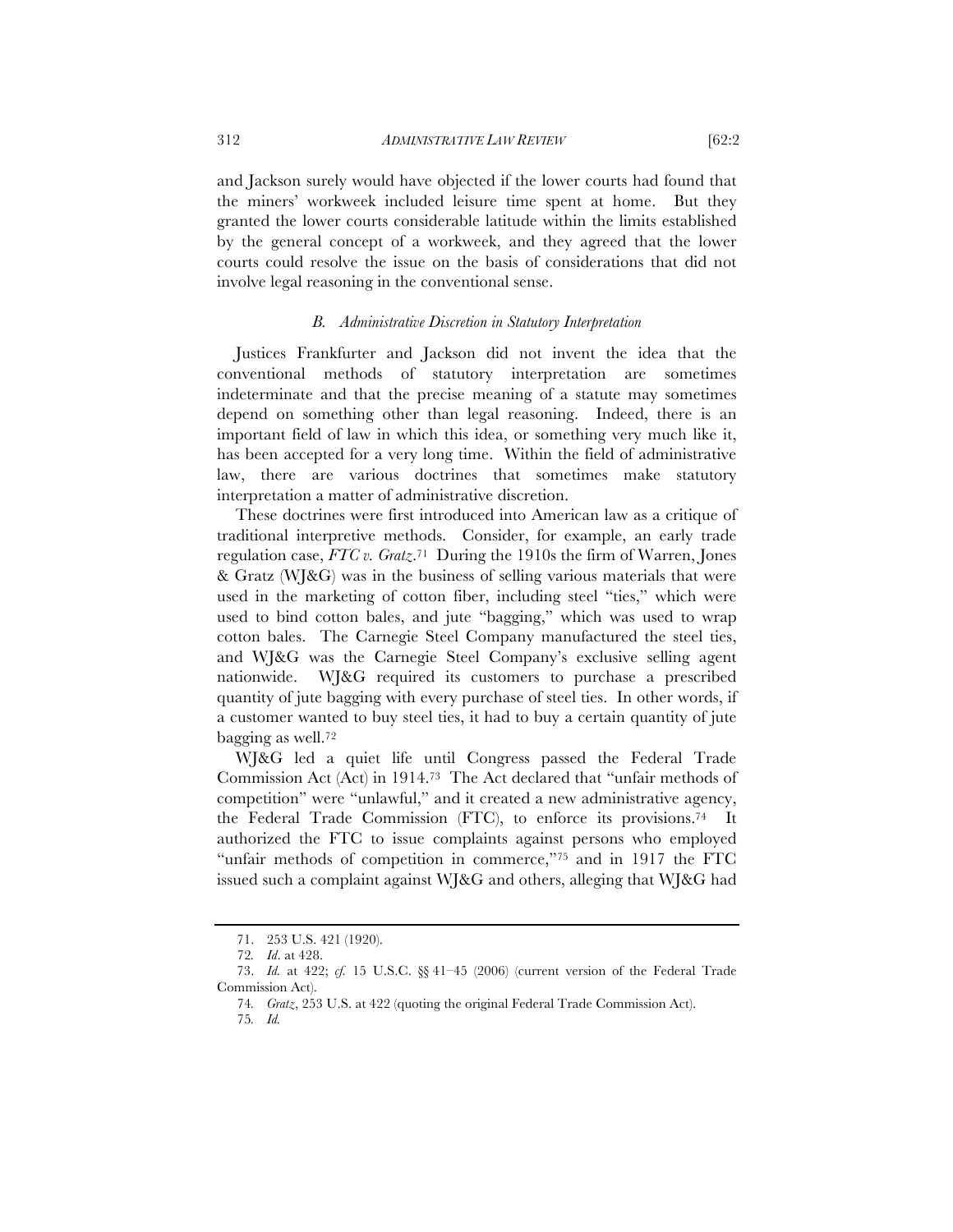and Jackson surely would have objected if the lower courts had found that

the miners' workweek included leisure time spent at home. But they granted the lower courts considerable latitude within the limits established by the general concept of a workweek, and they agreed that the lower courts could resolve the issue on the basis of considerations that did not involve legal reasoning in the conventional sense.

#### *B. Administrative Discretion in Statutory Interpretation*

Justices Frankfurter and Jackson did not invent the idea that the conventional methods of statutory interpretation are sometimes indeterminate and that the precise meaning of a statute may sometimes depend on something other than legal reasoning. Indeed, there is an important field of law in which this idea, or something very much like it, has been accepted for a very long time. Within the field of administrative law, there are various doctrines that sometimes make statutory interpretation a matter of administrative discretion.

These doctrines were first introduced into American law as a critique of traditional interpretive methods. Consider, for example, an early trade regulation case, *FTC v. Gratz*.71 During the 1910s the firm of Warren, Jones & Gratz (WJ&G) was in the business of selling various materials that were used in the marketing of cotton fiber, including steel "ties," which were used to bind cotton bales, and jute "bagging," which was used to wrap cotton bales. The Carnegie Steel Company manufactured the steel ties, and WJ&G was the Carnegie Steel Company's exclusive selling agent nationwide. WJ&G required its customers to purchase a prescribed quantity of jute bagging with every purchase of steel ties. In other words, if a customer wanted to buy steel ties, it had to buy a certain quantity of jute bagging as well.72

WJ&G led a quiet life until Congress passed the Federal Trade Commission Act (Act) in 1914.73 The Act declared that "unfair methods of competition" were "unlawful," and it created a new administrative agency, the Federal Trade Commission (FTC), to enforce its provisions.74 It authorized the FTC to issue complaints against persons who employed "unfair methods of competition in commerce,"75 and in 1917 the FTC issued such a complaint against WJ&G and others, alleging that WJ&G had

<sup>71.</sup> 253 U.S. 421 (1920).

<sup>72</sup>*. Id*. at 428.

<sup>73.</sup> *Id.* at 422; *cf.* 15 U.S.C. §§ 41–45 (2006) (current version of the Federal Trade Commission Act).

<sup>74</sup>*. Gratz*, 253 U.S. at 422 (quoting the original Federal Trade Commission Act).

<sup>75</sup>*. Id.*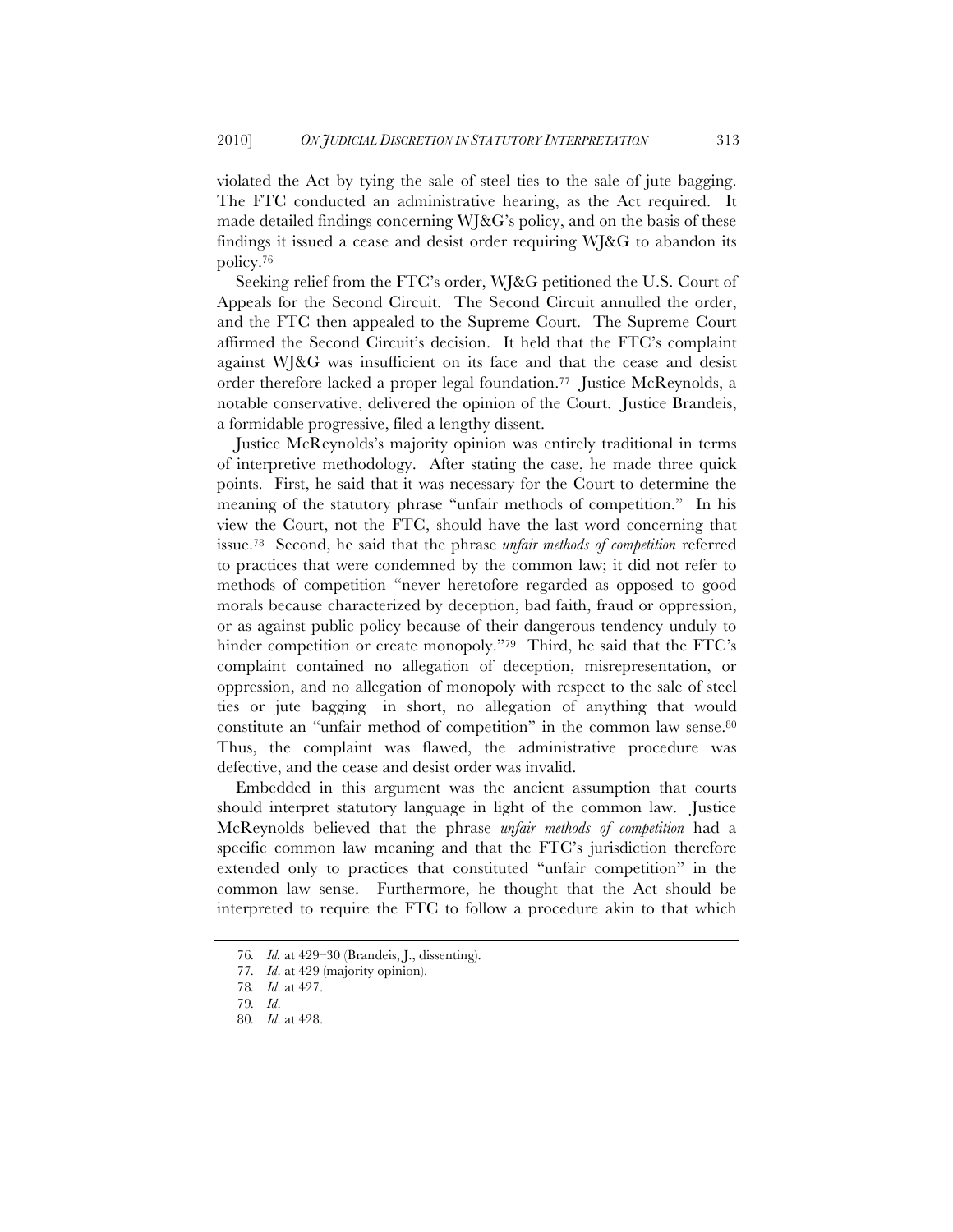violated the Act by tying the sale of steel ties to the sale of jute bagging. The FTC conducted an administrative hearing, as the Act required. It made detailed findings concerning WJ&G's policy, and on the basis of these findings it issued a cease and desist order requiring WJ&G to abandon its policy.76

Seeking relief from the FTC's order, WJ&G petitioned the U.S. Court of Appeals for the Second Circuit. The Second Circuit annulled the order, and the FTC then appealed to the Supreme Court. The Supreme Court affirmed the Second Circuit's decision. It held that the FTC's complaint against WJ&G was insufficient on its face and that the cease and desist order therefore lacked a proper legal foundation.77 Justice McReynolds, a notable conservative, delivered the opinion of the Court. Justice Brandeis, a formidable progressive, filed a lengthy dissent.

Justice McReynolds's majority opinion was entirely traditional in terms of interpretive methodology. After stating the case, he made three quick points. First, he said that it was necessary for the Court to determine the meaning of the statutory phrase "unfair methods of competition." In his view the Court, not the FTC, should have the last word concerning that issue.78 Second, he said that the phrase *unfair methods of competition* referred to practices that were condemned by the common law; it did not refer to methods of competition "never heretofore regarded as opposed to good morals because characterized by deception, bad faith, fraud or oppression, or as against public policy because of their dangerous tendency unduly to hinder competition or create monopoly."<sup>79</sup> Third, he said that the FTC's complaint contained no allegation of deception, misrepresentation, or oppression, and no allegation of monopoly with respect to the sale of steel ties or jute bagging—in short, no allegation of anything that would constitute an "unfair method of competition" in the common law sense.80 Thus, the complaint was flawed, the administrative procedure was defective, and the cease and desist order was invalid.

Embedded in this argument was the ancient assumption that courts should interpret statutory language in light of the common law. Justice McReynolds believed that the phrase *unfair methods of competition* had a specific common law meaning and that the FTC's jurisdiction therefore extended only to practices that constituted "unfair competition" in the common law sense. Furthermore, he thought that the Act should be interpreted to require the FTC to follow a procedure akin to that which

<sup>76</sup>*. Id.* at 429–30 (Brandeis, J., dissenting).

<sup>77</sup>*. Id*. at 429 (majority opinion).

<sup>78</sup>*. Id*. at 427.

<sup>79</sup>*. Id*.

<sup>80</sup>*. Id*. at 428.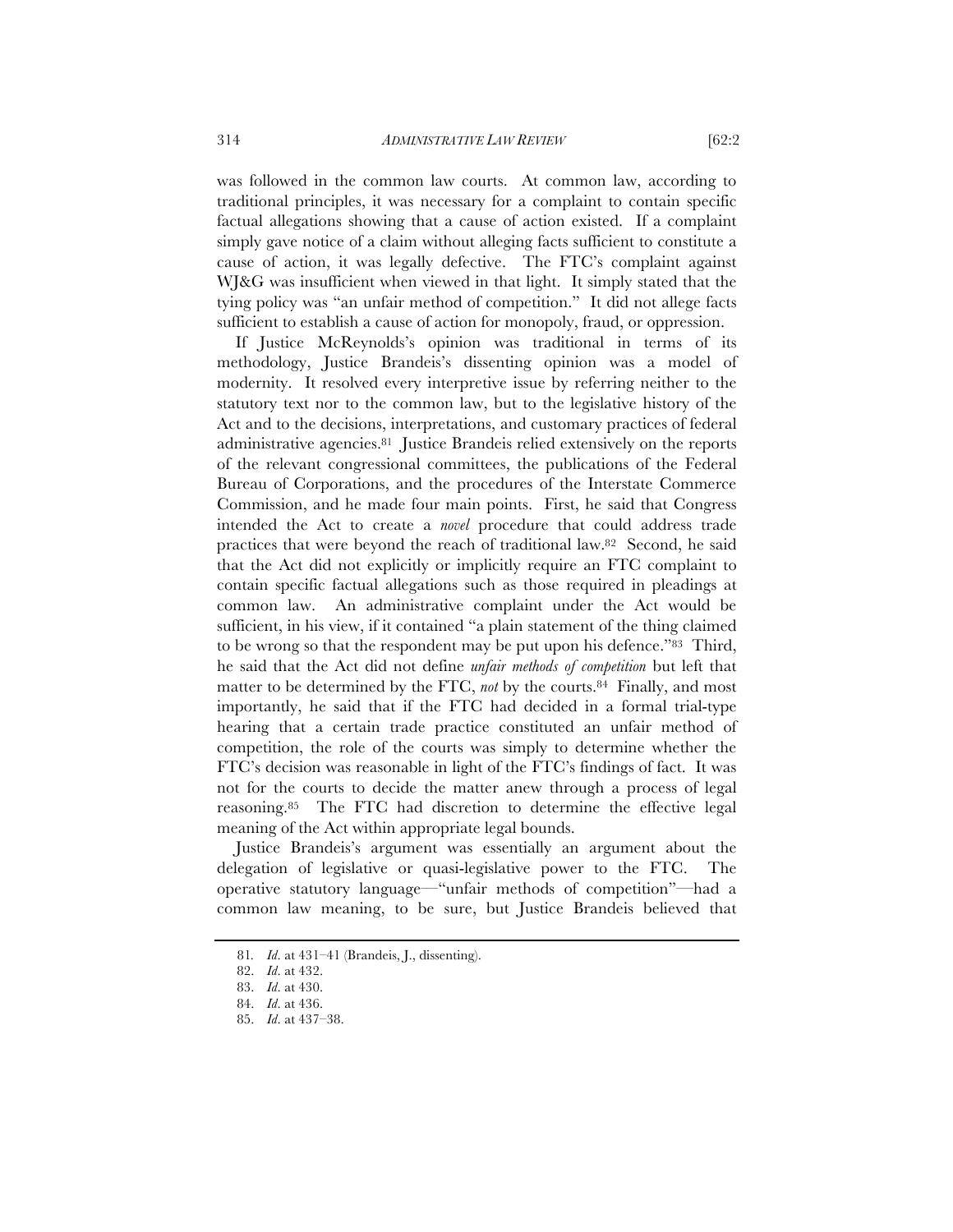was followed in the common law courts. At common law, according to traditional principles, it was necessary for a complaint to contain specific factual allegations showing that a cause of action existed. If a complaint simply gave notice of a claim without alleging facts sufficient to constitute a cause of action, it was legally defective. The FTC's complaint against WJ&G was insufficient when viewed in that light. It simply stated that the tying policy was "an unfair method of competition." It did not allege facts sufficient to establish a cause of action for monopoly, fraud, or oppression.

If Justice McReynolds's opinion was traditional in terms of its methodology, Justice Brandeis's dissenting opinion was a model of modernity. It resolved every interpretive issue by referring neither to the statutory text nor to the common law, but to the legislative history of the Act and to the decisions, interpretations, and customary practices of federal administrative agencies.81 Justice Brandeis relied extensively on the reports of the relevant congressional committees, the publications of the Federal Bureau of Corporations, and the procedures of the Interstate Commerce Commission, and he made four main points. First, he said that Congress intended the Act to create a *novel* procedure that could address trade practices that were beyond the reach of traditional law.82 Second, he said that the Act did not explicitly or implicitly require an FTC complaint to contain specific factual allegations such as those required in pleadings at common law. An administrative complaint under the Act would be sufficient, in his view, if it contained "a plain statement of the thing claimed to be wrong so that the respondent may be put upon his defence."83 Third, he said that the Act did not define *unfair methods of competition* but left that matter to be determined by the FTC, *not* by the courts.<sup>84</sup> Finally, and most importantly, he said that if the FTC had decided in a formal trial-type hearing that a certain trade practice constituted an unfair method of competition, the role of the courts was simply to determine whether the FTC's decision was reasonable in light of the FTC's findings of fact. It was not for the courts to decide the matter anew through a process of legal reasoning.85 The FTC had discretion to determine the effective legal meaning of the Act within appropriate legal bounds.

Justice Brandeis's argument was essentially an argument about the delegation of legislative or quasi-legislative power to the FTC. The operative statutory language—"unfair methods of competition"—had a common law meaning, to be sure, but Justice Brandeis believed that

<sup>81</sup>*. Id*. at 431–41 (Brandeis, J., dissenting).

<sup>82.</sup> *Id*. at 432.

<sup>83.</sup> *Id*. at 430.

<sup>84.</sup> *Id*. at 436.

<sup>85.</sup> *Id*. at 437–38.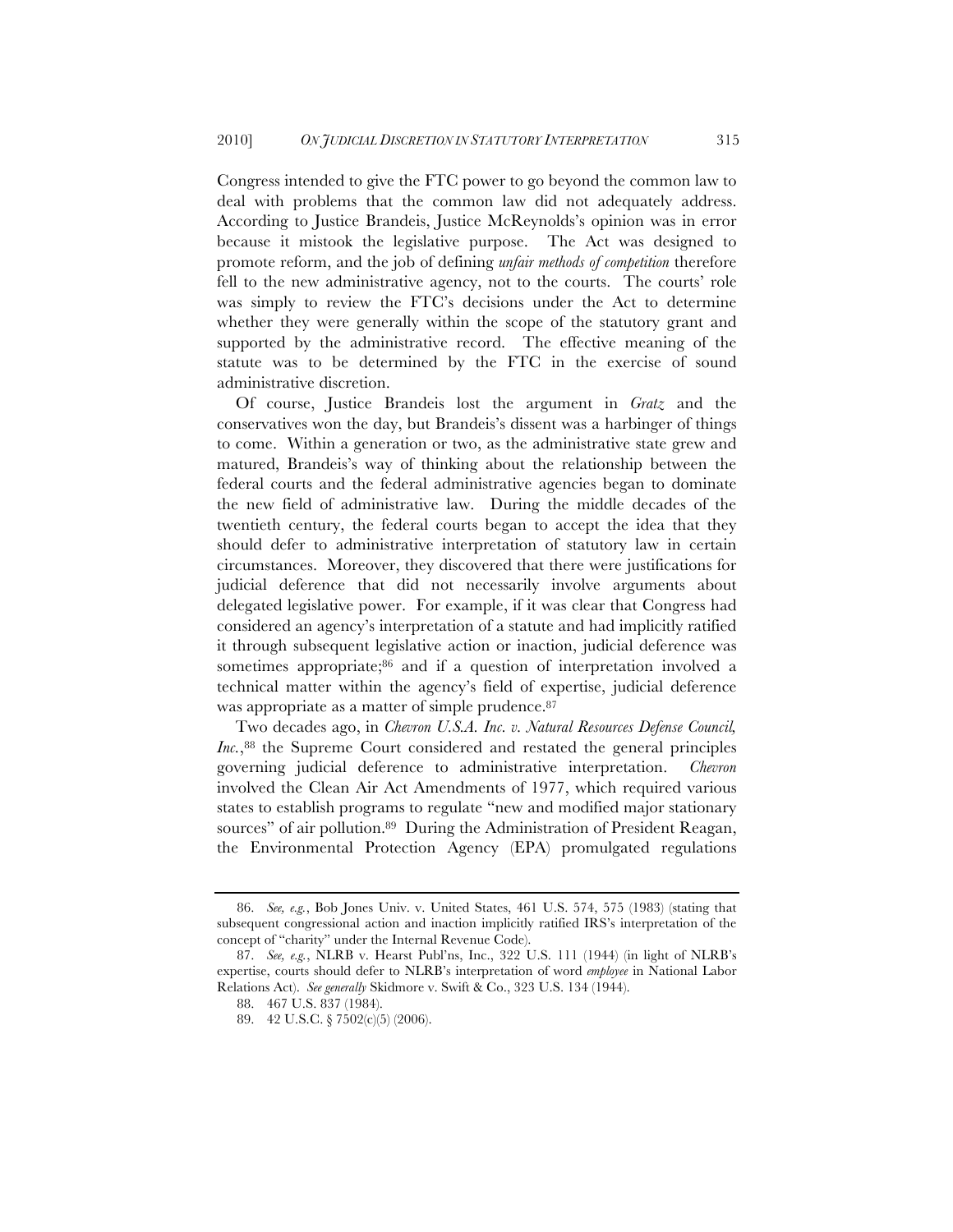Congress intended to give the FTC power to go beyond the common law to deal with problems that the common law did not adequately address. According to Justice Brandeis, Justice McReynolds's opinion was in error because it mistook the legislative purpose. The Act was designed to promote reform, and the job of defining *unfair methods of competition* therefore fell to the new administrative agency, not to the courts. The courts' role was simply to review the FTC's decisions under the Act to determine whether they were generally within the scope of the statutory grant and supported by the administrative record. The effective meaning of the statute was to be determined by the FTC in the exercise of sound administrative discretion.

Of course, Justice Brandeis lost the argument in *Gratz* and the conservatives won the day, but Brandeis's dissent was a harbinger of things to come. Within a generation or two, as the administrative state grew and matured, Brandeis's way of thinking about the relationship between the federal courts and the federal administrative agencies began to dominate the new field of administrative law. During the middle decades of the twentieth century, the federal courts began to accept the idea that they should defer to administrative interpretation of statutory law in certain circumstances. Moreover, they discovered that there were justifications for judicial deference that did not necessarily involve arguments about delegated legislative power. For example, if it was clear that Congress had considered an agency's interpretation of a statute and had implicitly ratified it through subsequent legislative action or inaction, judicial deference was sometimes appropriate;86 and if a question of interpretation involved a technical matter within the agency's field of expertise, judicial deference was appropriate as a matter of simple prudence.<sup>87</sup>

Two decades ago, in *Chevron U.S.A. Inc. v. Natural Resources Defense Council, Inc.*,<sup>88</sup> the Supreme Court considered and restated the general principles governing judicial deference to administrative interpretation. *Chevron* involved the Clean Air Act Amendments of 1977, which required various states to establish programs to regulate "new and modified major stationary sources" of air pollution.<sup>89</sup> During the Administration of President Reagan, the Environmental Protection Agency (EPA) promulgated regulations

<sup>86.</sup> *See, e.g.*, Bob Jones Univ. v. United States, 461 U.S. 574, 575 (1983) (stating that subsequent congressional action and inaction implicitly ratified IRS's interpretation of the concept of "charity" under the Internal Revenue Code).

<sup>87.</sup> *See, e.g.*, NLRB v. Hearst Publ'ns, Inc., 322 U.S. 111 (1944) (in light of NLRB's expertise, courts should defer to NLRB's interpretation of word *employee* in National Labor Relations Act). *See generally* Skidmore v. Swift & Co., 323 U.S. 134 (1944).

<sup>88.</sup> 467 U.S. 837 (1984).

<sup>89.</sup> 42 U.S.C. § 7502(c)(5) (2006).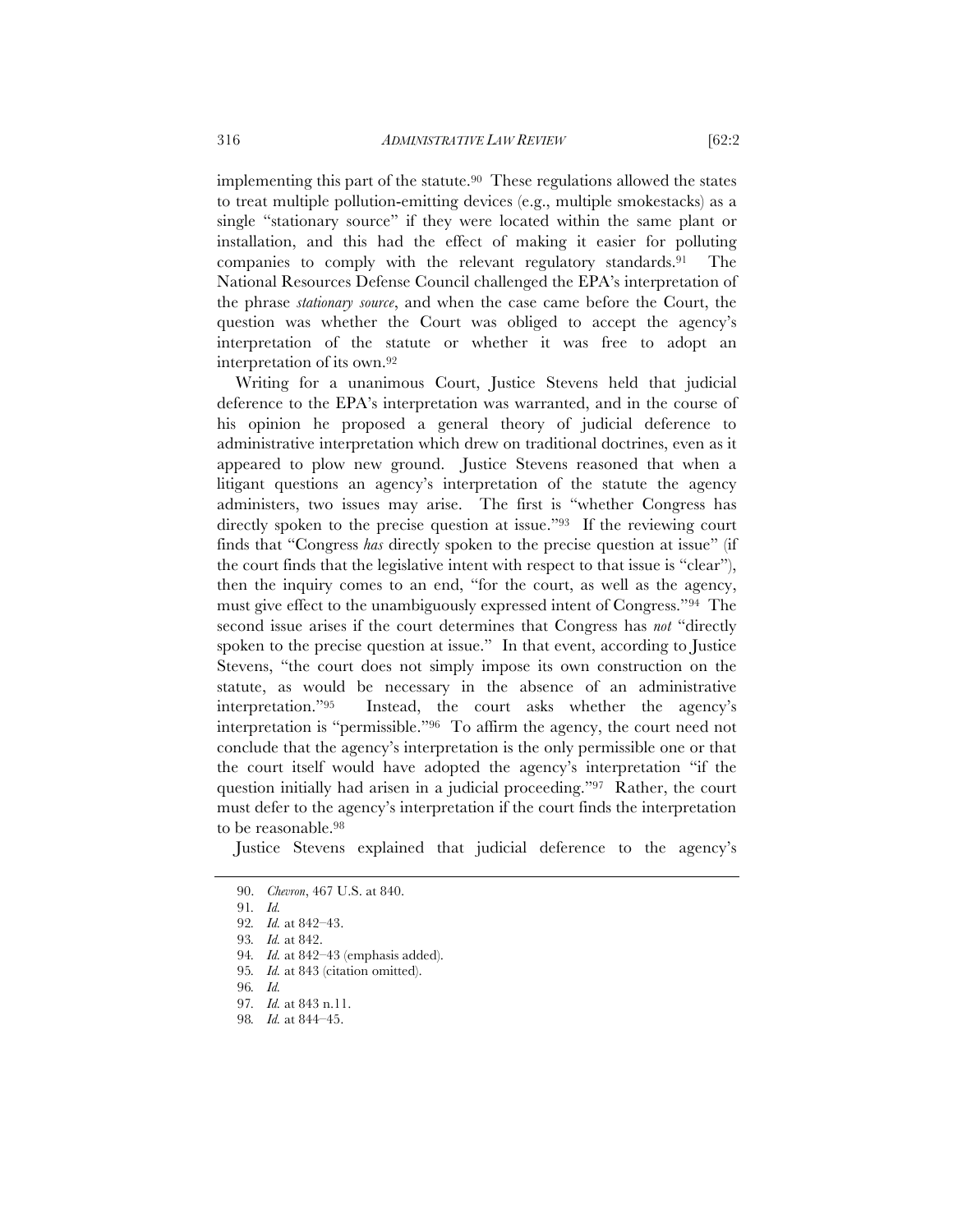implementing this part of the statute.90 These regulations allowed the states to treat multiple pollution-emitting devices (e.g., multiple smokestacks) as a single "stationary source" if they were located within the same plant or installation, and this had the effect of making it easier for polluting companies to comply with the relevant regulatory standards.91 The National Resources Defense Council challenged the EPA's interpretation of the phrase *stationary source*, and when the case came before the Court, the question was whether the Court was obliged to accept the agency's interpretation of the statute or whether it was free to adopt an interpretation of its own.92

Writing for a unanimous Court, Justice Stevens held that judicial deference to the EPA's interpretation was warranted, and in the course of his opinion he proposed a general theory of judicial deference to administrative interpretation which drew on traditional doctrines, even as it appeared to plow new ground. Justice Stevens reasoned that when a litigant questions an agency's interpretation of the statute the agency administers, two issues may arise. The first is "whether Congress has directly spoken to the precise question at issue."<sup>93</sup> If the reviewing court finds that "Congress *has* directly spoken to the precise question at issue" (if the court finds that the legislative intent with respect to that issue is "clear"), then the inquiry comes to an end, "for the court, as well as the agency, must give effect to the unambiguously expressed intent of Congress."94 The second issue arises if the court determines that Congress has *not* "directly spoken to the precise question at issue." In that event, according to Justice Stevens, "the court does not simply impose its own construction on the statute, as would be necessary in the absence of an administrative interpretation."95 Instead, the court asks whether the agency's interpretation is "permissible."96 To affirm the agency, the court need not conclude that the agency's interpretation is the only permissible one or that the court itself would have adopted the agency's interpretation "if the question initially had arisen in a judicial proceeding."97 Rather, the court must defer to the agency's interpretation if the court finds the interpretation to be reasonable.98

Justice Stevens explained that judicial deference to the agency's

<sup>90.</sup> *Chevron*, 467 U.S. at 840.

<sup>91</sup>*. Id.*

<sup>92</sup>*. Id.* at 842–43.

<sup>93</sup>*. Id.* at 842.

<sup>94</sup>*. Id.* at 842–43 (emphasis added).

<sup>95</sup>*. Id.* at 843 (citation omitted).

<sup>96</sup>*. Id.*

<sup>97</sup>*. Id.* at 843 n.11.

<sup>98</sup>*. Id.* at 844–45.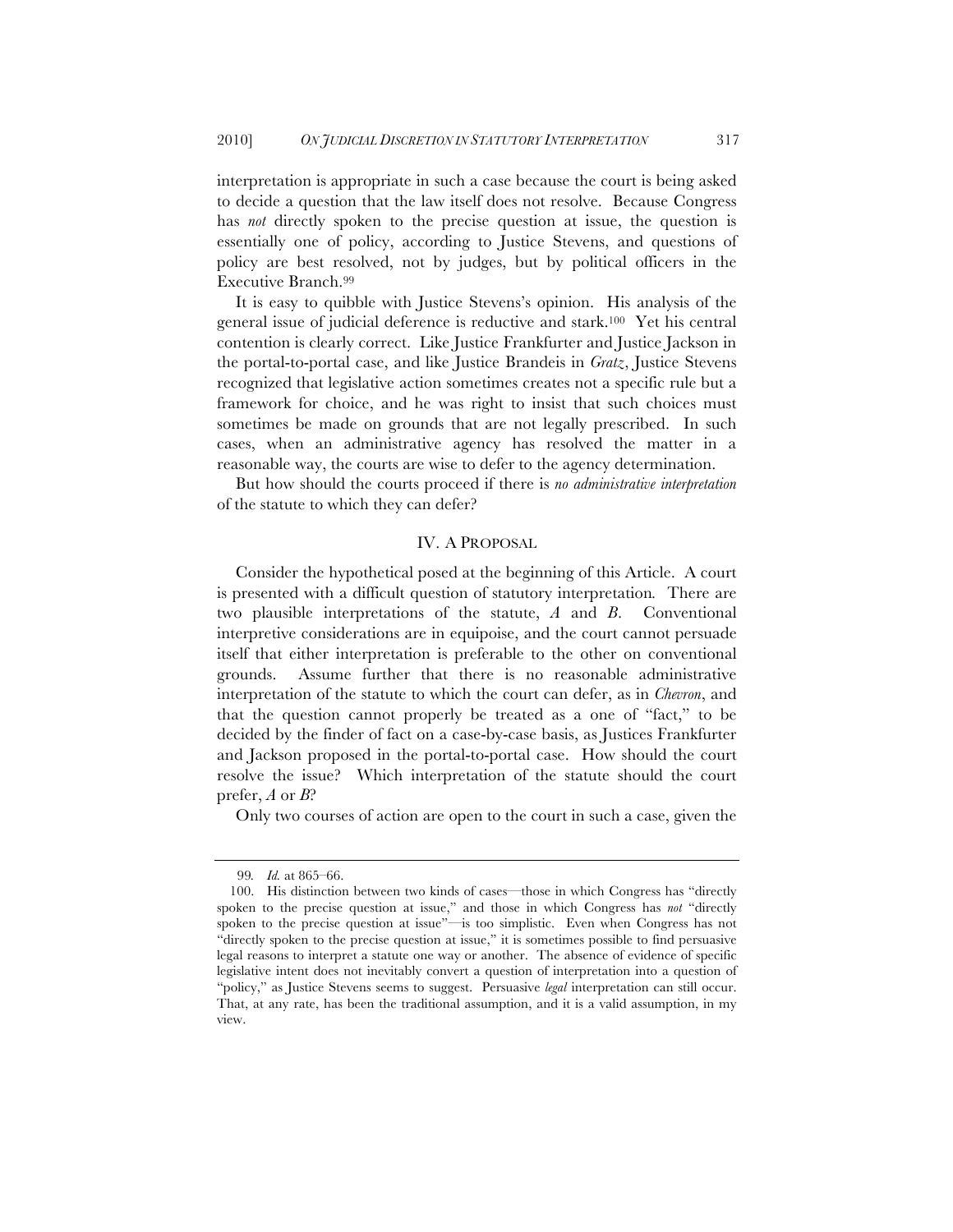interpretation is appropriate in such a case because the court is being asked to decide a question that the law itself does not resolve. Because Congress has *not* directly spoken to the precise question at issue, the question is essentially one of policy, according to Justice Stevens, and questions of policy are best resolved, not by judges, but by political officers in the Executive Branch.99

It is easy to quibble with Justice Stevens's opinion. His analysis of the general issue of judicial deference is reductive and stark.100 Yet his central contention is clearly correct. Like Justice Frankfurter and Justice Jackson in the portal-to-portal case, and like Justice Brandeis in *Gratz*, Justice Stevens recognized that legislative action sometimes creates not a specific rule but a framework for choice, and he was right to insist that such choices must sometimes be made on grounds that are not legally prescribed. In such cases, when an administrative agency has resolved the matter in a reasonable way, the courts are wise to defer to the agency determination.

But how should the courts proceed if there is *no administrative interpretation* of the statute to which they can defer?

#### IV. A PROPOSAL

Consider the hypothetical posed at the beginning of this Article. A court is presented with a difficult question of statutory interpretation*.* There are two plausible interpretations of the statute, *A* and *B*. Conventional interpretive considerations are in equipoise, and the court cannot persuade itself that either interpretation is preferable to the other on conventional grounds. Assume further that there is no reasonable administrative interpretation of the statute to which the court can defer, as in *Chevron*, and that the question cannot properly be treated as a one of "fact," to be decided by the finder of fact on a case-by-case basis, as Justices Frankfurter and Jackson proposed in the portal-to-portal case. How should the court resolve the issue? Which interpretation of the statute should the court prefer, *A* or *B*?

Only two courses of action are open to the court in such a case, given the

<sup>99</sup>*. Id.* at 865–66.

<sup>100.</sup> His distinction between two kinds of cases—those in which Congress has "directly spoken to the precise question at issue," and those in which Congress has *not* "directly spoken to the precise question at issue"—is too simplistic. Even when Congress has not "directly spoken to the precise question at issue," it is sometimes possible to find persuasive legal reasons to interpret a statute one way or another. The absence of evidence of specific legislative intent does not inevitably convert a question of interpretation into a question of "policy," as Justice Stevens seems to suggest. Persuasive *legal* interpretation can still occur. That, at any rate, has been the traditional assumption, and it is a valid assumption, in my view.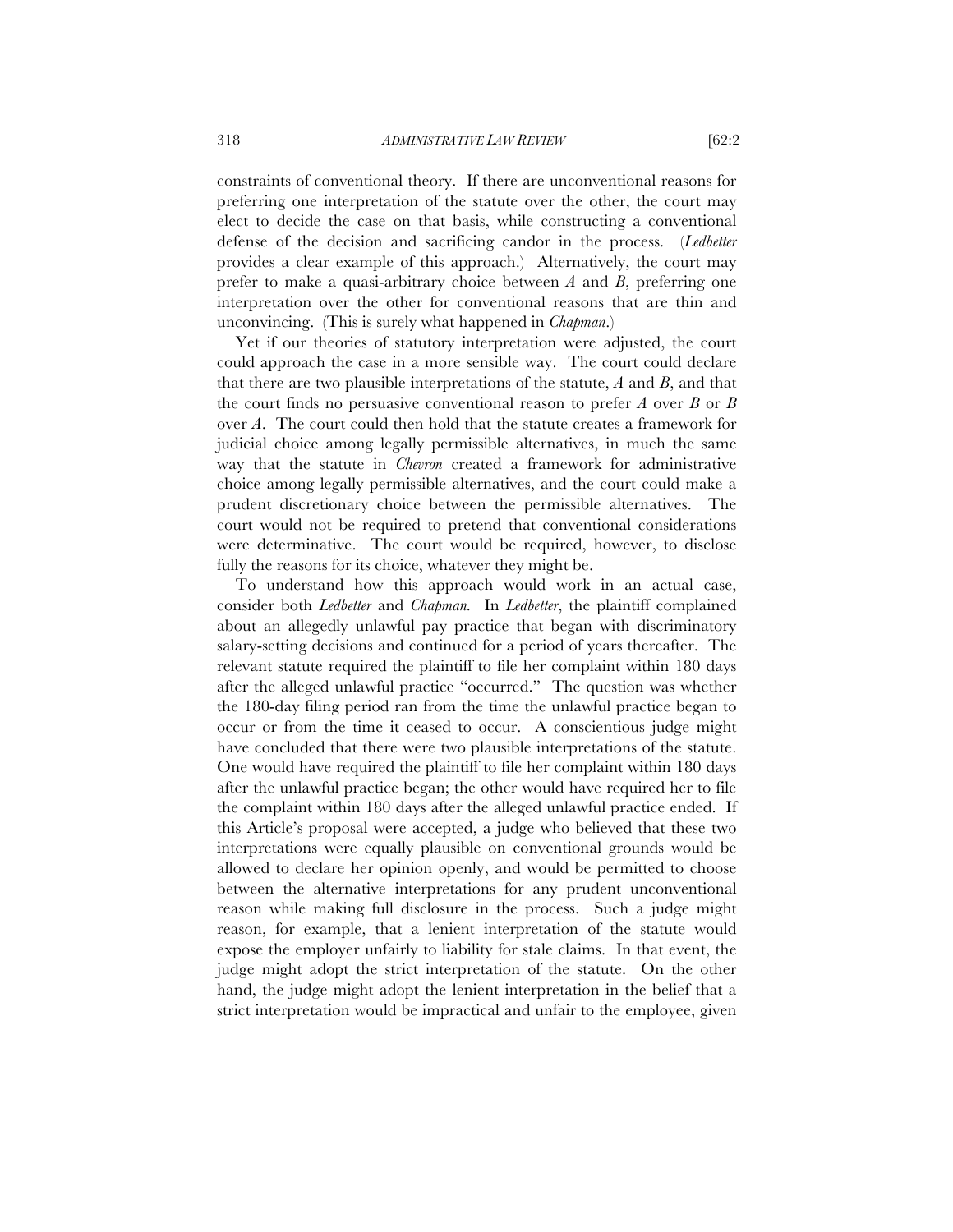constraints of conventional theory. If there are unconventional reasons for preferring one interpretation of the statute over the other, the court may elect to decide the case on that basis, while constructing a conventional defense of the decision and sacrificing candor in the process. (*Ledbetter* provides a clear example of this approach.) Alternatively, the court may prefer to make a quasi-arbitrary choice between *A* and *B*, preferring one interpretation over the other for conventional reasons that are thin and unconvincing. (This is surely what happened in *Chapman*.)

Yet if our theories of statutory interpretation were adjusted, the court could approach the case in a more sensible way. The court could declare that there are two plausible interpretations of the statute, *A* and *B*, and that the court finds no persuasive conventional reason to prefer *A* over *B* or *B* over *A*. The court could then hold that the statute creates a framework for judicial choice among legally permissible alternatives, in much the same way that the statute in *Chevron* created a framework for administrative choice among legally permissible alternatives, and the court could make a prudent discretionary choice between the permissible alternatives. The court would not be required to pretend that conventional considerations were determinative. The court would be required, however, to disclose fully the reasons for its choice, whatever they might be.

To understand how this approach would work in an actual case, consider both *Ledbetter* and *Chapman.* In *Ledbetter*, the plaintiff complained about an allegedly unlawful pay practice that began with discriminatory salary-setting decisions and continued for a period of years thereafter. The relevant statute required the plaintiff to file her complaint within 180 days after the alleged unlawful practice "occurred." The question was whether the 180-day filing period ran from the time the unlawful practice began to occur or from the time it ceased to occur. A conscientious judge might have concluded that there were two plausible interpretations of the statute. One would have required the plaintiff to file her complaint within 180 days after the unlawful practice began; the other would have required her to file the complaint within 180 days after the alleged unlawful practice ended. If this Article's proposal were accepted, a judge who believed that these two interpretations were equally plausible on conventional grounds would be allowed to declare her opinion openly, and would be permitted to choose between the alternative interpretations for any prudent unconventional reason while making full disclosure in the process. Such a judge might reason, for example, that a lenient interpretation of the statute would expose the employer unfairly to liability for stale claims. In that event, the judge might adopt the strict interpretation of the statute. On the other hand, the judge might adopt the lenient interpretation in the belief that a strict interpretation would be impractical and unfair to the employee, given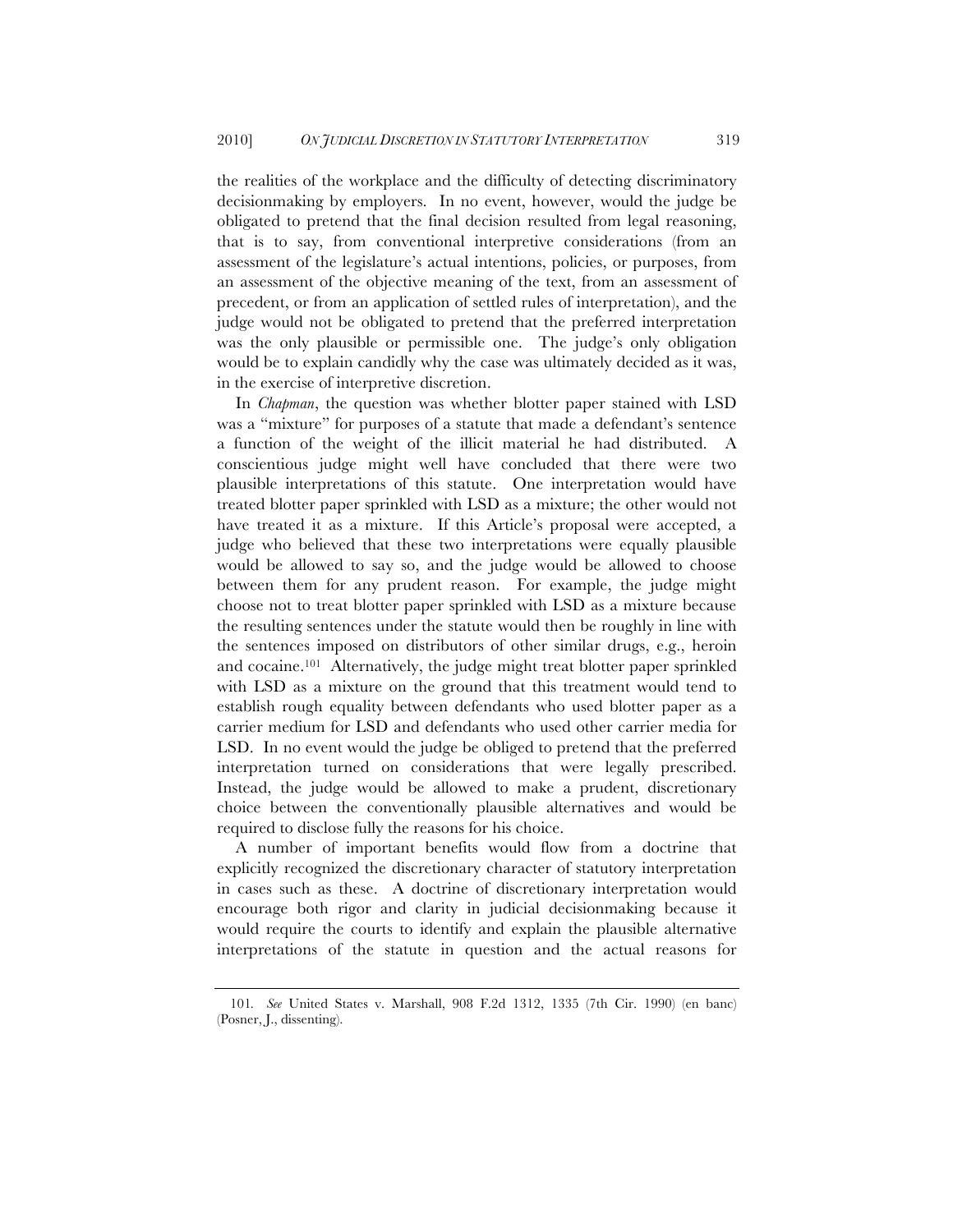the realities of the workplace and the difficulty of detecting discriminatory decisionmaking by employers. In no event, however, would the judge be obligated to pretend that the final decision resulted from legal reasoning, that is to say, from conventional interpretive considerations (from an assessment of the legislature's actual intentions, policies, or purposes, from an assessment of the objective meaning of the text, from an assessment of precedent, or from an application of settled rules of interpretation), and the judge would not be obligated to pretend that the preferred interpretation was the only plausible or permissible one. The judge's only obligation would be to explain candidly why the case was ultimately decided as it was, in the exercise of interpretive discretion.

In *Chapman*, the question was whether blotter paper stained with LSD was a "mixture" for purposes of a statute that made a defendant's sentence a function of the weight of the illicit material he had distributed. A conscientious judge might well have concluded that there were two plausible interpretations of this statute. One interpretation would have treated blotter paper sprinkled with LSD as a mixture; the other would not have treated it as a mixture. If this Article's proposal were accepted, a judge who believed that these two interpretations were equally plausible would be allowed to say so, and the judge would be allowed to choose between them for any prudent reason. For example, the judge might choose not to treat blotter paper sprinkled with LSD as a mixture because the resulting sentences under the statute would then be roughly in line with the sentences imposed on distributors of other similar drugs, e.g., heroin and cocaine.101 Alternatively, the judge might treat blotter paper sprinkled with LSD as a mixture on the ground that this treatment would tend to establish rough equality between defendants who used blotter paper as a carrier medium for LSD and defendants who used other carrier media for LSD. In no event would the judge be obliged to pretend that the preferred interpretation turned on considerations that were legally prescribed. Instead, the judge would be allowed to make a prudent, discretionary choice between the conventionally plausible alternatives and would be required to disclose fully the reasons for his choice.

A number of important benefits would flow from a doctrine that explicitly recognized the discretionary character of statutory interpretation in cases such as these. A doctrine of discretionary interpretation would encourage both rigor and clarity in judicial decisionmaking because it would require the courts to identify and explain the plausible alternative interpretations of the statute in question and the actual reasons for

<sup>101</sup>*. See* United States v. Marshall, 908 F.2d 1312, 1335 (7th Cir. 1990) (en banc) (Posner, J., dissenting).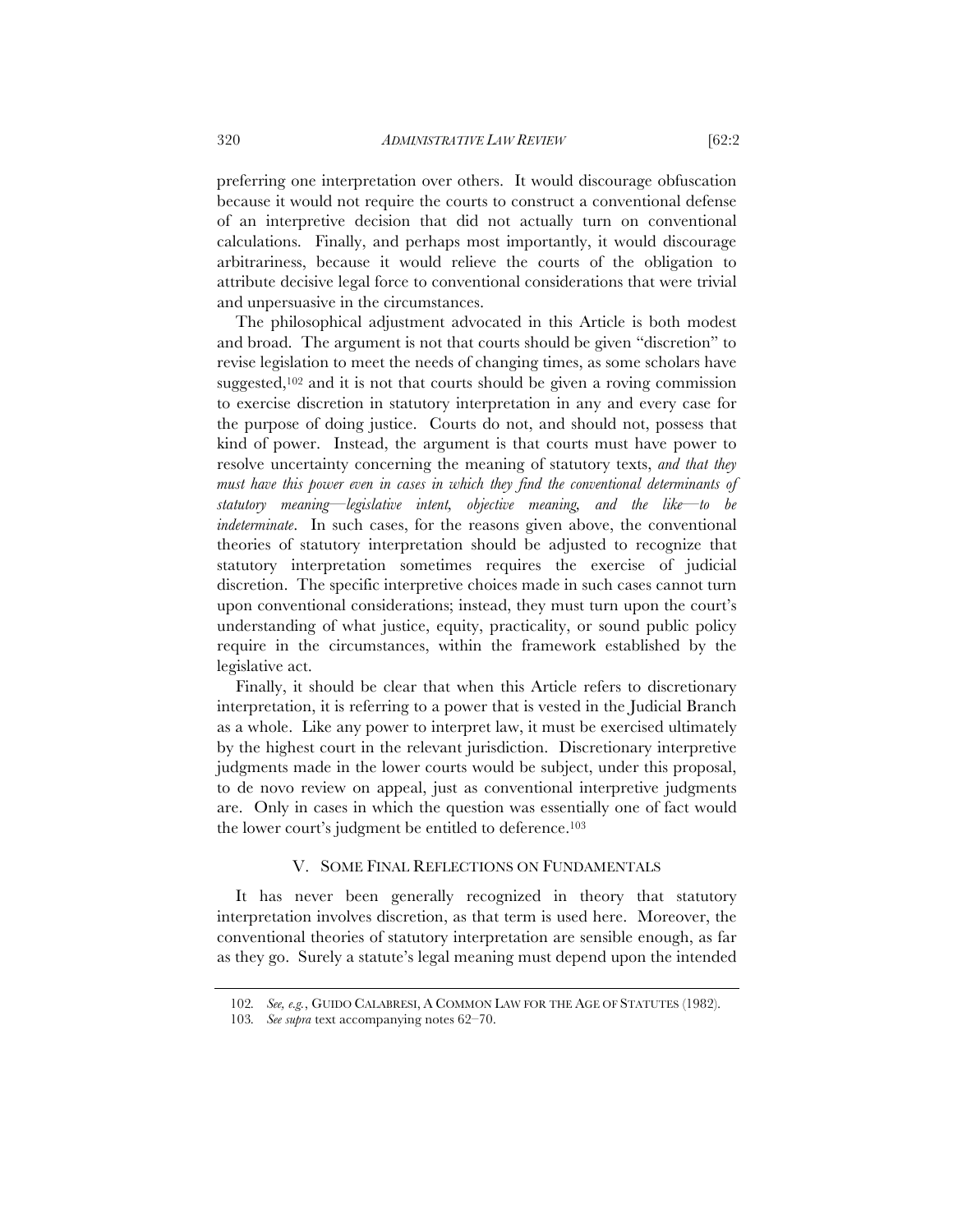preferring one interpretation over others. It would discourage obfuscation because it would not require the courts to construct a conventional defense of an interpretive decision that did not actually turn on conventional calculations. Finally, and perhaps most importantly, it would discourage arbitrariness, because it would relieve the courts of the obligation to attribute decisive legal force to conventional considerations that were trivial and unpersuasive in the circumstances.

The philosophical adjustment advocated in this Article is both modest and broad. The argument is not that courts should be given "discretion" to revise legislation to meet the needs of changing times, as some scholars have suggested,102 and it is not that courts should be given a roving commission to exercise discretion in statutory interpretation in any and every case for the purpose of doing justice. Courts do not, and should not, possess that kind of power. Instead, the argument is that courts must have power to resolve uncertainty concerning the meaning of statutory texts, *and that they must have this power even in cases in which they find the conventional determinants of statutory meaning—legislative intent, objective meaning, and the like—to be indeterminate*. In such cases, for the reasons given above, the conventional theories of statutory interpretation should be adjusted to recognize that statutory interpretation sometimes requires the exercise of judicial discretion. The specific interpretive choices made in such cases cannot turn upon conventional considerations; instead, they must turn upon the court's understanding of what justice, equity, practicality, or sound public policy require in the circumstances, within the framework established by the legislative act.

Finally, it should be clear that when this Article refers to discretionary interpretation, it is referring to a power that is vested in the Judicial Branch as a whole. Like any power to interpret law, it must be exercised ultimately by the highest court in the relevant jurisdiction. Discretionary interpretive judgments made in the lower courts would be subject, under this proposal, to de novo review on appeal, just as conventional interpretive judgments are. Only in cases in which the question was essentially one of fact would the lower court's judgment be entitled to deference.103

#### V. SOME FINAL REFLECTIONS ON FUNDAMENTALS

It has never been generally recognized in theory that statutory interpretation involves discretion, as that term is used here. Moreover, the conventional theories of statutory interpretation are sensible enough, as far as they go. Surely a statute's legal meaning must depend upon the intended

<sup>102</sup>*. See, e.g.*, GUIDO CALABRESI, A COMMON LAW FOR THE AGE OF STATUTES (1982).

<sup>103</sup>*. See supra* text accompanying notes 62–70.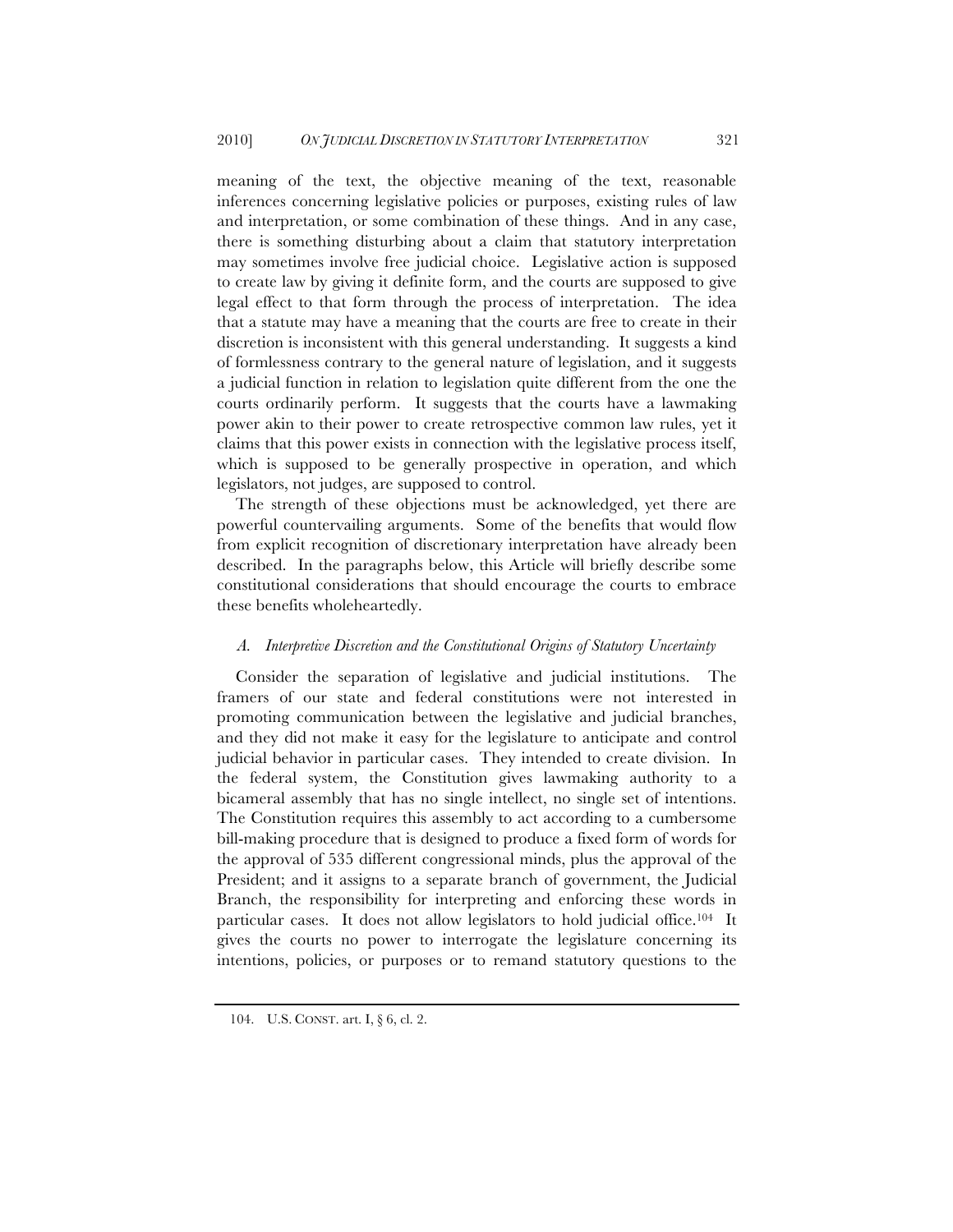meaning of the text, the objective meaning of the text, reasonable inferences concerning legislative policies or purposes, existing rules of law and interpretation, or some combination of these things. And in any case, there is something disturbing about a claim that statutory interpretation may sometimes involve free judicial choice. Legislative action is supposed to create law by giving it definite form, and the courts are supposed to give legal effect to that form through the process of interpretation. The idea that a statute may have a meaning that the courts are free to create in their discretion is inconsistent with this general understanding. It suggests a kind of formlessness contrary to the general nature of legislation, and it suggests a judicial function in relation to legislation quite different from the one the courts ordinarily perform. It suggests that the courts have a lawmaking power akin to their power to create retrospective common law rules, yet it claims that this power exists in connection with the legislative process itself, which is supposed to be generally prospective in operation, and which legislators, not judges, are supposed to control.

The strength of these objections must be acknowledged, yet there are powerful countervailing arguments. Some of the benefits that would flow from explicit recognition of discretionary interpretation have already been described. In the paragraphs below, this Article will briefly describe some constitutional considerations that should encourage the courts to embrace these benefits wholeheartedly.

#### *A. Interpretive Discretion and the Constitutional Origins of Statutory Uncertainty*

Consider the separation of legislative and judicial institutions. The framers of our state and federal constitutions were not interested in promoting communication between the legislative and judicial branches, and they did not make it easy for the legislature to anticipate and control judicial behavior in particular cases. They intended to create division. In the federal system, the Constitution gives lawmaking authority to a bicameral assembly that has no single intellect, no single set of intentions. The Constitution requires this assembly to act according to a cumbersome bill-making procedure that is designed to produce a fixed form of words for the approval of 535 different congressional minds, plus the approval of the President; and it assigns to a separate branch of government, the Judicial Branch, the responsibility for interpreting and enforcing these words in particular cases. It does not allow legislators to hold judicial office.104 It gives the courts no power to interrogate the legislature concerning its intentions, policies, or purposes or to remand statutory questions to the

<sup>104.</sup> U.S. CONST. art. I, § 6, cl. 2.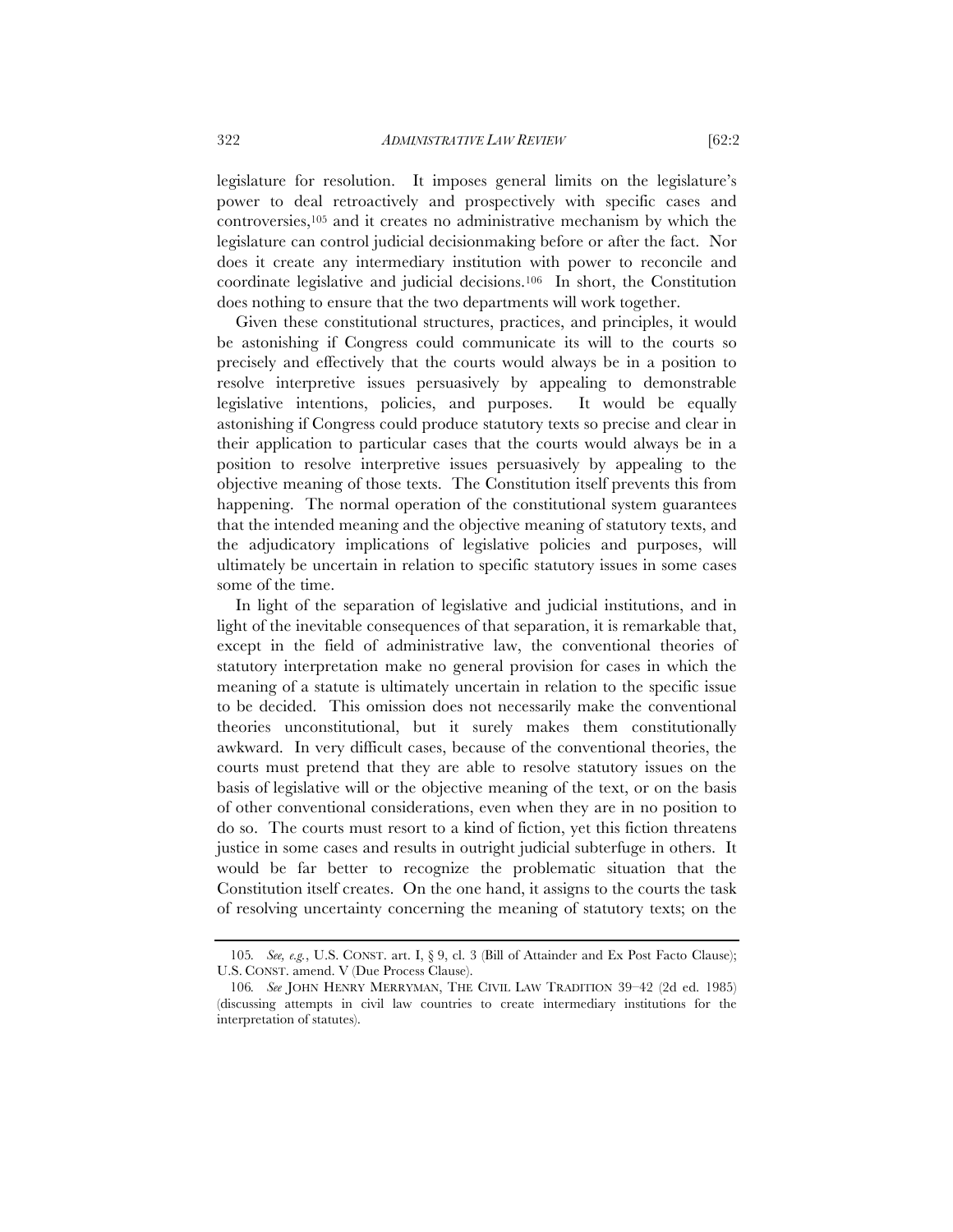legislature for resolution. It imposes general limits on the legislature's power to deal retroactively and prospectively with specific cases and controversies,105 and it creates no administrative mechanism by which the legislature can control judicial decisionmaking before or after the fact. Nor does it create any intermediary institution with power to reconcile and coordinate legislative and judicial decisions.106 In short, the Constitution does nothing to ensure that the two departments will work together.

Given these constitutional structures, practices, and principles, it would be astonishing if Congress could communicate its will to the courts so precisely and effectively that the courts would always be in a position to resolve interpretive issues persuasively by appealing to demonstrable legislative intentions, policies, and purposes. It would be equally astonishing if Congress could produce statutory texts so precise and clear in their application to particular cases that the courts would always be in a position to resolve interpretive issues persuasively by appealing to the objective meaning of those texts. The Constitution itself prevents this from happening. The normal operation of the constitutional system guarantees that the intended meaning and the objective meaning of statutory texts, and the adjudicatory implications of legislative policies and purposes, will ultimately be uncertain in relation to specific statutory issues in some cases some of the time.

In light of the separation of legislative and judicial institutions, and in light of the inevitable consequences of that separation, it is remarkable that, except in the field of administrative law, the conventional theories of statutory interpretation make no general provision for cases in which the meaning of a statute is ultimately uncertain in relation to the specific issue to be decided. This omission does not necessarily make the conventional theories unconstitutional, but it surely makes them constitutionally awkward. In very difficult cases, because of the conventional theories, the courts must pretend that they are able to resolve statutory issues on the basis of legislative will or the objective meaning of the text, or on the basis of other conventional considerations, even when they are in no position to do so. The courts must resort to a kind of fiction, yet this fiction threatens justice in some cases and results in outright judicial subterfuge in others. It would be far better to recognize the problematic situation that the Constitution itself creates. On the one hand, it assigns to the courts the task of resolving uncertainty concerning the meaning of statutory texts; on the

<sup>105</sup>*. See, e.g.*, U.S. CONST. art. I, § 9, cl. 3 (Bill of Attainder and Ex Post Facto Clause); U.S. CONST. amend. V (Due Process Clause).

<sup>106</sup>*. See* JOHN HENRY MERRYMAN, THE CIVIL LAW TRADITION 39–42 (2d ed. 1985) (discussing attempts in civil law countries to create intermediary institutions for the interpretation of statutes).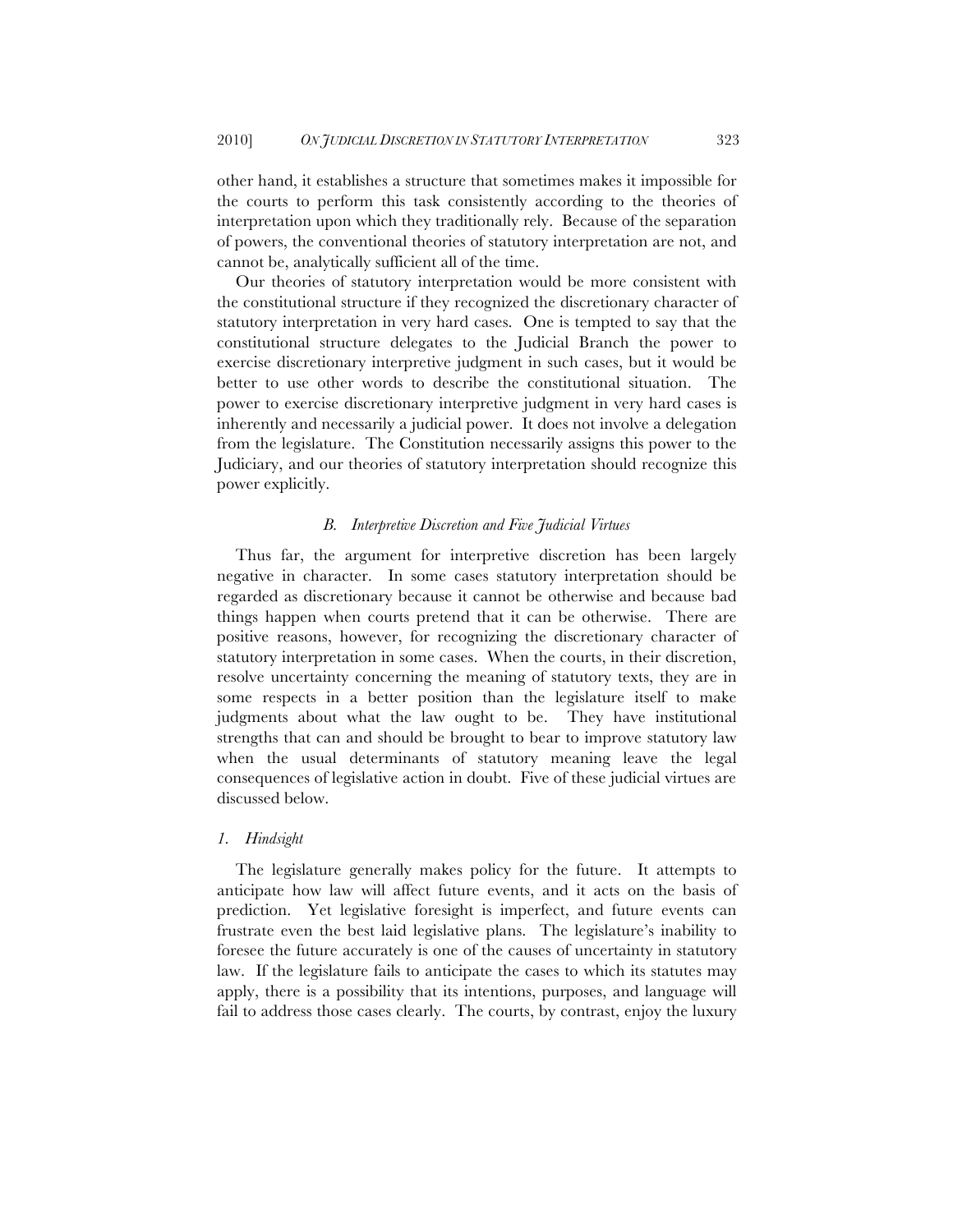other hand, it establishes a structure that sometimes makes it impossible for the courts to perform this task consistently according to the theories of interpretation upon which they traditionally rely. Because of the separation of powers, the conventional theories of statutory interpretation are not, and cannot be, analytically sufficient all of the time.

Our theories of statutory interpretation would be more consistent with the constitutional structure if they recognized the discretionary character of statutory interpretation in very hard cases. One is tempted to say that the constitutional structure delegates to the Judicial Branch the power to exercise discretionary interpretive judgment in such cases, but it would be better to use other words to describe the constitutional situation. The power to exercise discretionary interpretive judgment in very hard cases is inherently and necessarily a judicial power. It does not involve a delegation from the legislature. The Constitution necessarily assigns this power to the Judiciary, and our theories of statutory interpretation should recognize this power explicitly.

#### *B. Interpretive Discretion and Five Judicial Virtues*

Thus far, the argument for interpretive discretion has been largely negative in character. In some cases statutory interpretation should be regarded as discretionary because it cannot be otherwise and because bad things happen when courts pretend that it can be otherwise. There are positive reasons, however, for recognizing the discretionary character of statutory interpretation in some cases. When the courts, in their discretion, resolve uncertainty concerning the meaning of statutory texts, they are in some respects in a better position than the legislature itself to make judgments about what the law ought to be. They have institutional strengths that can and should be brought to bear to improve statutory law when the usual determinants of statutory meaning leave the legal consequences of legislative action in doubt. Five of these judicial virtues are discussed below.

#### *1. Hindsight*

The legislature generally makes policy for the future. It attempts to anticipate how law will affect future events, and it acts on the basis of prediction. Yet legislative foresight is imperfect, and future events can frustrate even the best laid legislative plans. The legislature's inability to foresee the future accurately is one of the causes of uncertainty in statutory law. If the legislature fails to anticipate the cases to which its statutes may apply, there is a possibility that its intentions, purposes, and language will fail to address those cases clearly. The courts, by contrast, enjoy the luxury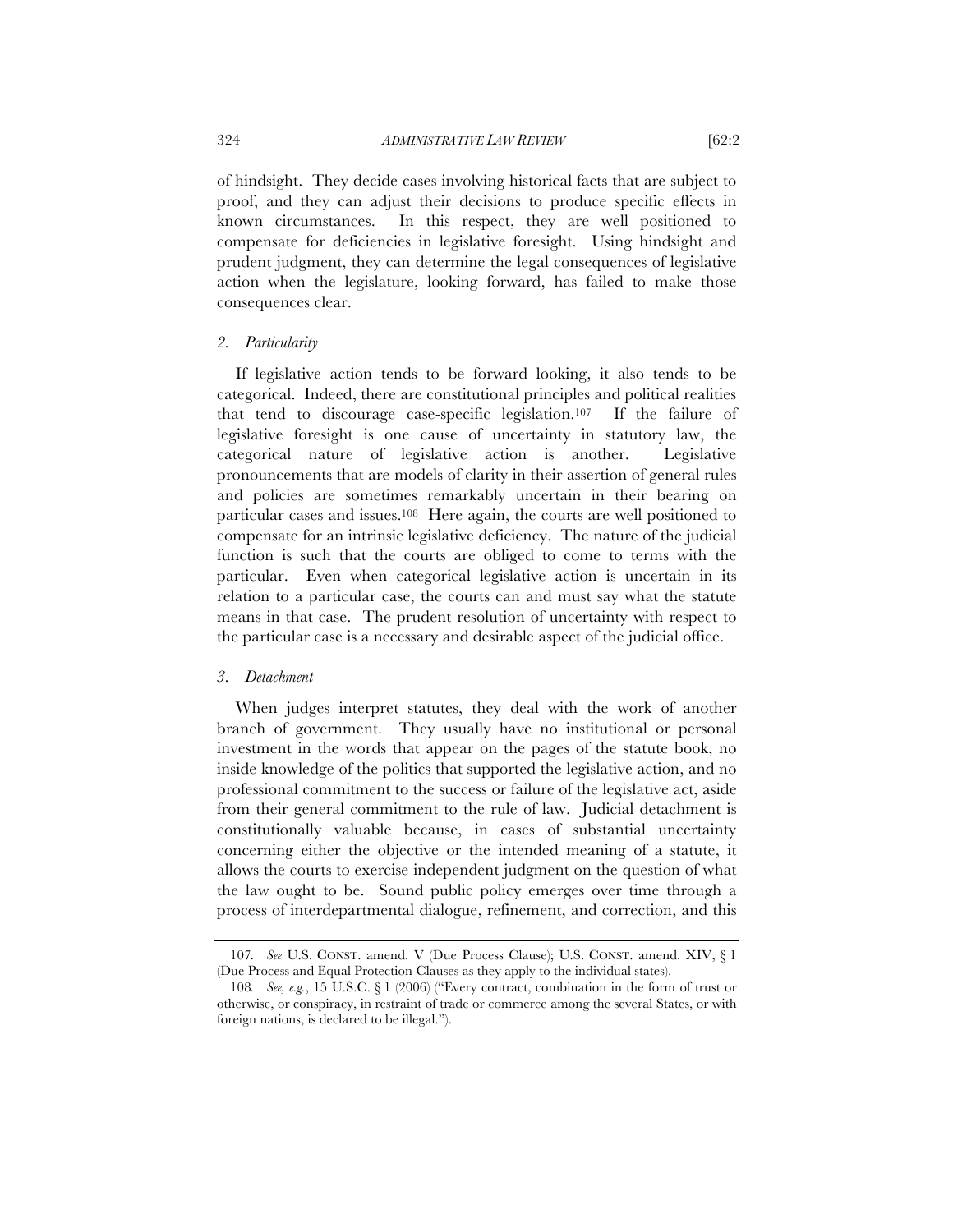of hindsight. They decide cases involving historical facts that are subject to proof, and they can adjust their decisions to produce specific effects in known circumstances. In this respect, they are well positioned to compensate for deficiencies in legislative foresight. Using hindsight and prudent judgment, they can determine the legal consequences of legislative action when the legislature, looking forward, has failed to make those consequences clear.

#### *2. Particularity*

If legislative action tends to be forward looking, it also tends to be categorical. Indeed, there are constitutional principles and political realities that tend to discourage case-specific legislation.107 If the failure of legislative foresight is one cause of uncertainty in statutory law, the categorical nature of legislative action is another. Legislative pronouncements that are models of clarity in their assertion of general rules and policies are sometimes remarkably uncertain in their bearing on particular cases and issues.108 Here again, the courts are well positioned to compensate for an intrinsic legislative deficiency. The nature of the judicial function is such that the courts are obliged to come to terms with the particular. Even when categorical legislative action is uncertain in its relation to a particular case, the courts can and must say what the statute means in that case. The prudent resolution of uncertainty with respect to the particular case is a necessary and desirable aspect of the judicial office.

#### *3. Detachment*

When judges interpret statutes, they deal with the work of another branch of government. They usually have no institutional or personal investment in the words that appear on the pages of the statute book, no inside knowledge of the politics that supported the legislative action, and no professional commitment to the success or failure of the legislative act, aside from their general commitment to the rule of law. Judicial detachment is constitutionally valuable because, in cases of substantial uncertainty concerning either the objective or the intended meaning of a statute, it allows the courts to exercise independent judgment on the question of what the law ought to be. Sound public policy emerges over time through a process of interdepartmental dialogue, refinement, and correction, and this

<sup>107</sup>*. See* U.S. CONST. amend. V (Due Process Clause); U.S. CONST. amend. XIV, § 1 (Due Process and Equal Protection Clauses as they apply to the individual states).

<sup>108</sup>*. See, e.g.*, 15 U.S.C. § 1 (2006) ("Every contract, combination in the form of trust or otherwise, or conspiracy, in restraint of trade or commerce among the several States, or with foreign nations, is declared to be illegal.").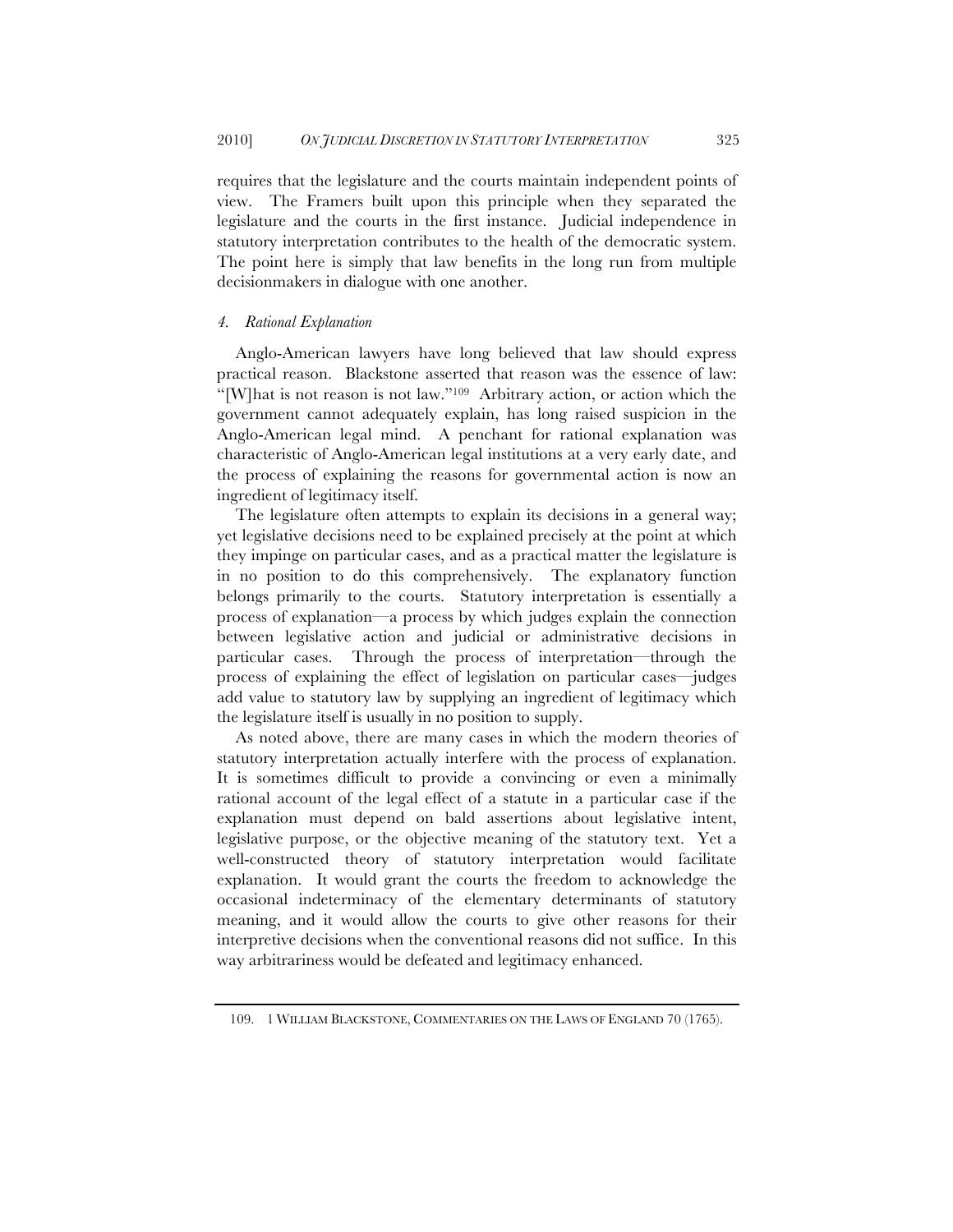requires that the legislature and the courts maintain independent points of view. The Framers built upon this principle when they separated the legislature and the courts in the first instance. Judicial independence in statutory interpretation contributes to the health of the democratic system. The point here is simply that law benefits in the long run from multiple decisionmakers in dialogue with one another.

#### *4. Rational Explanation*

Anglo-American lawyers have long believed that law should express practical reason. Blackstone asserted that reason was the essence of law: "[W]hat is not reason is not law."109 Arbitrary action, or action which the government cannot adequately explain, has long raised suspicion in the Anglo-American legal mind. A penchant for rational explanation was characteristic of Anglo-American legal institutions at a very early date, and the process of explaining the reasons for governmental action is now an ingredient of legitimacy itself.

The legislature often attempts to explain its decisions in a general way; yet legislative decisions need to be explained precisely at the point at which they impinge on particular cases, and as a practical matter the legislature is in no position to do this comprehensively. The explanatory function belongs primarily to the courts. Statutory interpretation is essentially a process of explanation—a process by which judges explain the connection between legislative action and judicial or administrative decisions in particular cases. Through the process of interpretation—through the process of explaining the effect of legislation on particular cases—judges add value to statutory law by supplying an ingredient of legitimacy which the legislature itself is usually in no position to supply.

As noted above, there are many cases in which the modern theories of statutory interpretation actually interfere with the process of explanation. It is sometimes difficult to provide a convincing or even a minimally rational account of the legal effect of a statute in a particular case if the explanation must depend on bald assertions about legislative intent, legislative purpose, or the objective meaning of the statutory text. Yet a well-constructed theory of statutory interpretation would facilitate explanation. It would grant the courts the freedom to acknowledge the occasional indeterminacy of the elementary determinants of statutory meaning, and it would allow the courts to give other reasons for their interpretive decisions when the conventional reasons did not suffice. In this way arbitrariness would be defeated and legitimacy enhanced.

<sup>109.</sup> 1 WILLIAM BLACKSTONE, COMMENTARIES ON THE LAWS OF ENGLAND 70 (1765).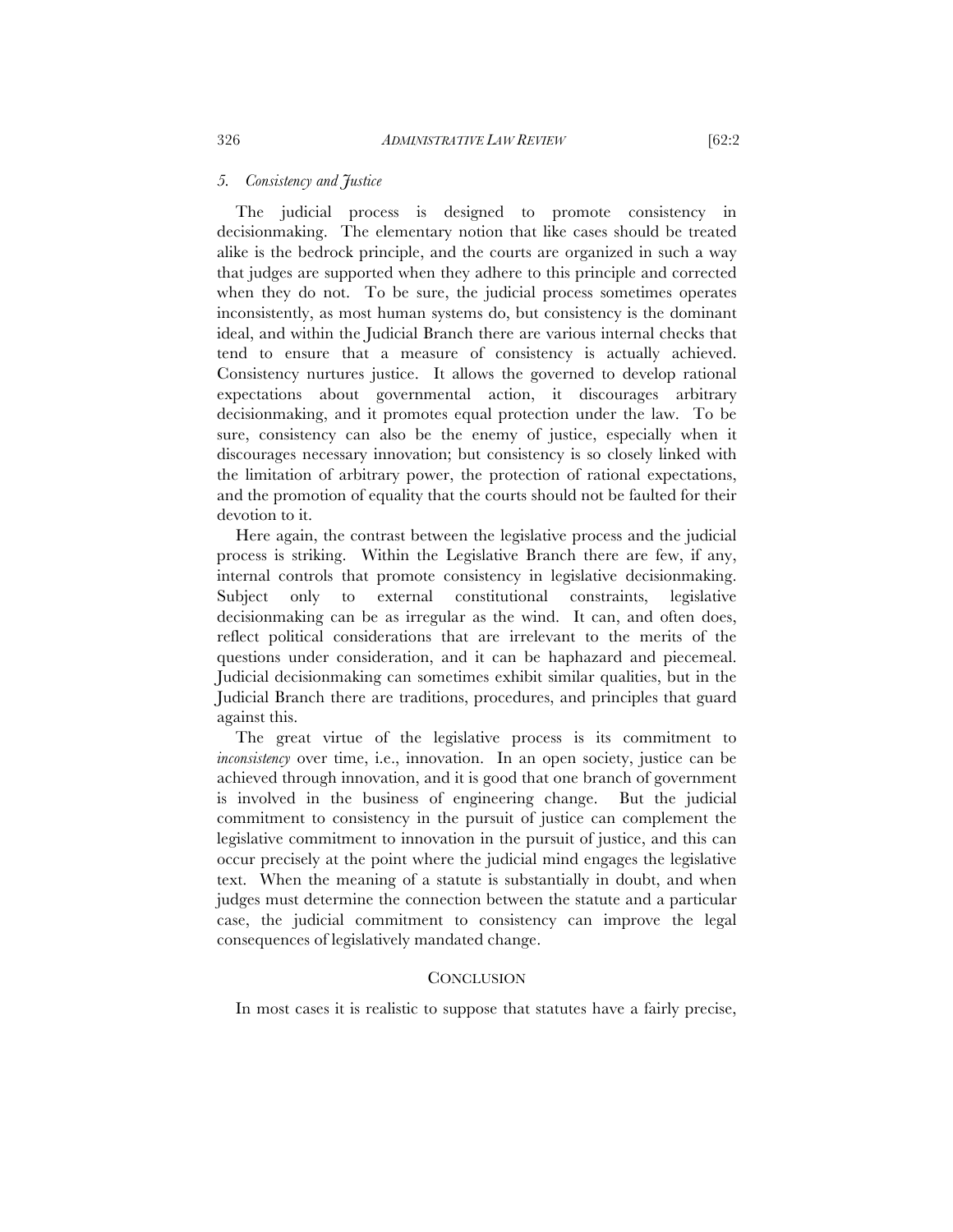#### *5. Consistency and Justice*

The judicial process is designed to promote consistency in decisionmaking. The elementary notion that like cases should be treated alike is the bedrock principle, and the courts are organized in such a way that judges are supported when they adhere to this principle and corrected when they do not. To be sure, the judicial process sometimes operates inconsistently, as most human systems do, but consistency is the dominant ideal, and within the Judicial Branch there are various internal checks that tend to ensure that a measure of consistency is actually achieved. Consistency nurtures justice. It allows the governed to develop rational expectations about governmental action, it discourages arbitrary decisionmaking, and it promotes equal protection under the law. To be sure, consistency can also be the enemy of justice, especially when it discourages necessary innovation; but consistency is so closely linked with the limitation of arbitrary power, the protection of rational expectations, and the promotion of equality that the courts should not be faulted for their devotion to it.

Here again, the contrast between the legislative process and the judicial process is striking. Within the Legislative Branch there are few, if any, internal controls that promote consistency in legislative decisionmaking. Subject only to external constitutional constraints, legislative decisionmaking can be as irregular as the wind. It can, and often does, reflect political considerations that are irrelevant to the merits of the questions under consideration, and it can be haphazard and piecemeal. Judicial decisionmaking can sometimes exhibit similar qualities, but in the Judicial Branch there are traditions, procedures, and principles that guard against this.

The great virtue of the legislative process is its commitment to *inconsistency* over time, i.e., innovation. In an open society, justice can be achieved through innovation, and it is good that one branch of government is involved in the business of engineering change. But the judicial commitment to consistency in the pursuit of justice can complement the legislative commitment to innovation in the pursuit of justice, and this can occur precisely at the point where the judicial mind engages the legislative text. When the meaning of a statute is substantially in doubt, and when judges must determine the connection between the statute and a particular case, the judicial commitment to consistency can improve the legal consequences of legislatively mandated change.

#### **CONCLUSION**

In most cases it is realistic to suppose that statutes have a fairly precise,